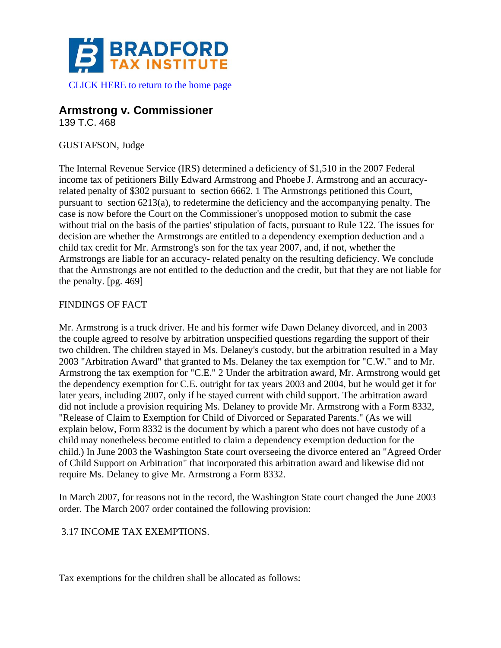

# **Armstrong v. Commissioner**

139 T.C. 468

# GUSTAFSON, Judge

The Internal Revenue Service (IRS) determined a deficiency of \$1,510 in the 2007 Federal income tax of petitioners Billy Edward Armstrong and Phoebe J. Armstrong and an accuracyrelated penalty of \$302 pursuant to section 6662. 1 The Armstrongs petitioned this Court, pursuant to section 6213(a), to redetermine the deficiency and the accompanying penalty. The case is now before the Court on the Commissioner's unopposed motion to submit the case without trial on the basis of the parties' stipulation of facts, pursuant to Rule 122. The issues for decision are whether the Armstrongs are entitled to a dependency exemption deduction and a child tax credit for Mr. Armstrong's son for the tax year 2007, and, if not, whether the Armstrongs are liable for an accuracy- related penalty on the resulting deficiency. We conclude that the Armstrongs are not entitled to the deduction and the credit, but that they are not liable for the penalty. [pg. 469]

# FINDINGS OF FACT

Mr. Armstrong is a truck driver. He and his former wife Dawn Delaney divorced, and in 2003 the couple agreed to resolve by arbitration unspecified questions regarding the support of their two children. The children stayed in Ms. Delaney's custody, but the arbitration resulted in a May 2003 "Arbitration Award" that granted to Ms. Delaney the tax exemption for "C.W." and to Mr. Armstrong the tax exemption for "C.E." 2 Under the arbitration award, Mr. Armstrong would get the dependency exemption for C.E. outright for tax years 2003 and 2004, but he would get it for later years, including 2007, only if he stayed current with child support. The arbitration award did not include a provision requiring Ms. Delaney to provide Mr. Armstrong with a Form 8332, "Release of Claim to Exemption for Child of Divorced or Separated Parents." (As we will explain below, Form 8332 is the document by which a parent who does not have custody of a child may nonetheless become entitled to claim a dependency exemption deduction for the child.) In June 2003 the Washington State court overseeing the divorce entered an "Agreed Order of Child Support on Arbitration" that incorporated this arbitration award and likewise did not require Ms. Delaney to give Mr. Armstrong a Form 8332.

In March 2007, for reasons not in the record, the Washington State court changed the June 2003 order. The March 2007 order contained the following provision:

# 3.17 INCOME TAX EXEMPTIONS.

Tax exemptions for the children shall be allocated as follows: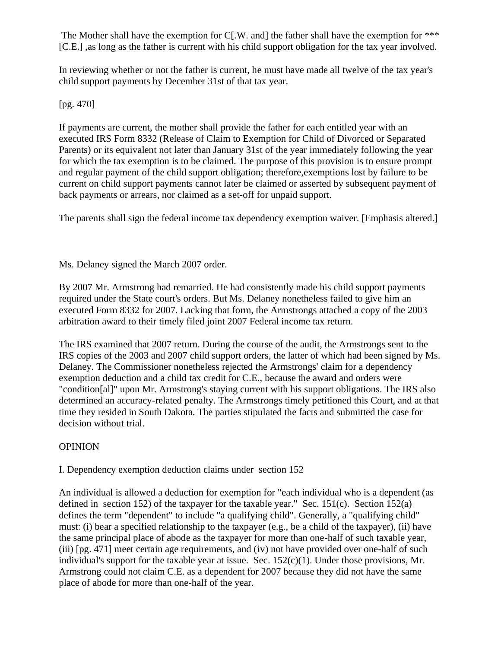The Mother shall have the exemption for  $C[N]$ . and the father shall have the exemption for \*\*\* [C.E.] ,as long as the father is current with his child support obligation for the tax year involved.

In reviewing whether or not the father is current, he must have made all twelve of the tax year's child support payments by December 31st of that tax year.

[pg. 470]

If payments are current, the mother shall provide the father for each entitled year with an executed IRS Form 8332 (Release of Claim to Exemption for Child of Divorced or Separated Parents) or its equivalent not later than January 31st of the year immediately following the year for which the tax exemption is to be claimed. The purpose of this provision is to ensure prompt and regular payment of the child support obligation; therefore,exemptions lost by failure to be current on child support payments cannot later be claimed or asserted by subsequent payment of back payments or arrears, nor claimed as a set-off for unpaid support.

The parents shall sign the federal income tax dependency exemption waiver. [Emphasis altered.]

Ms. Delaney signed the March 2007 order.

By 2007 Mr. Armstrong had remarried. He had consistently made his child support payments required under the State court's orders. But Ms. Delaney nonetheless failed to give him an executed Form 8332 for 2007. Lacking that form, the Armstrongs attached a copy of the 2003 arbitration award to their timely filed joint 2007 Federal income tax return.

The IRS examined that 2007 return. During the course of the audit, the Armstrongs sent to the IRS copies of the 2003 and 2007 child support orders, the latter of which had been signed by Ms. Delaney. The Commissioner nonetheless rejected the Armstrongs' claim for a dependency exemption deduction and a child tax credit for C.E., because the award and orders were "condition[al]" upon Mr. Armstrong's staying current with his support obligations. The IRS also determined an accuracy-related penalty. The Armstrongs timely petitioned this Court, and at that time they resided in South Dakota. The parties stipulated the facts and submitted the case for decision without trial.

# **OPINION**

I. Dependency exemption deduction claims under section 152

An individual is allowed a deduction for exemption for "each individual who is a dependent (as defined in section 152) of the taxpayer for the taxable year." Sec. 151(c). Section 152(a) defines the term "dependent" to include "a qualifying child". Generally, a "qualifying child" must: (i) bear a specified relationship to the taxpayer (e.g., be a child of the taxpayer), (ii) have the same principal place of abode as the taxpayer for more than one-half of such taxable year, (iii) [pg. 471] meet certain age requirements, and (iv) not have provided over one-half of such individual's support for the taxable year at issue. Sec.  $152(c)(1)$ . Under those provisions, Mr. Armstrong could not claim C.E. as a dependent for 2007 because they did not have the same place of abode for more than one-half of the year.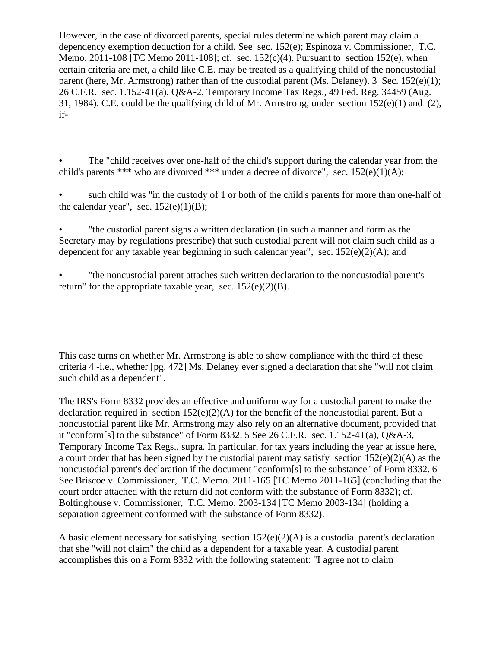However, in the case of divorced parents, special rules determine which parent may claim a dependency exemption deduction for a child. See sec. 152(e); Espinoza v. Commissioner, T.C. Memo. 2011-108 [TC Memo 2011-108]; cf. sec.  $152(c)(4)$ . Pursuant to section 152(e), when certain criteria are met, a child like C.E. may be treated as a qualifying child of the noncustodial parent (here, Mr. Armstrong) rather than of the custodial parent (Ms. Delaney). 3 Sec. 152(e)(1); 26 C.F.R. sec. 1.152-4T(a), Q&A-2, Temporary Income Tax Regs., 49 Fed. Reg. 34459 (Aug. 31, 1984). C.E. could be the qualifying child of Mr. Armstrong, under section 152(e)(1) and (2), if-

The "child receives over one-half of the child's support during the calendar year from the child's parents \*\*\* who are divorced \*\*\* under a decree of divorce", sec.  $152(e)(1)(A)$ ;

such child was "in the custody of 1 or both of the child's parents for more than one-half of the calendar year", sec.  $152(e)(1)(B)$ ;

• "the custodial parent signs a written declaration (in such a manner and form as the Secretary may by regulations prescribe) that such custodial parent will not claim such child as a dependent for any taxable year beginning in such calendar year", sec.  $152(e)(2)(A)$ ; and

• "the noncustodial parent attaches such written declaration to the noncustodial parent's return" for the appropriate taxable year, sec.  $152(e)(2)(B)$ .

This case turns on whether Mr. Armstrong is able to show compliance with the third of these criteria 4 -i.e., whether [pg. 472] Ms. Delaney ever signed a declaration that she "will not claim such child as a dependent".

The IRS's Form 8332 provides an effective and uniform way for a custodial parent to make the declaration required in section  $152(e)(2)(A)$  for the benefit of the noncustodial parent. But a noncustodial parent like Mr. Armstrong may also rely on an alternative document, provided that it "conform[s] to the substance" of Form 8332. 5 See 26 C.F.R. sec. 1.152-4T(a), Q&A-3, Temporary Income Tax Regs., supra. In particular, for tax years including the year at issue here, a court order that has been signed by the custodial parent may satisfy section 152(e)(2)(A) as the noncustodial parent's declaration if the document "conform[s] to the substance" of Form 8332. 6 See Briscoe v. Commissioner, T.C. Memo. 2011-165 [TC Memo 2011-165] (concluding that the court order attached with the return did not conform with the substance of Form 8332); cf. Boltinghouse v. Commissioner, T.C. Memo. 2003-134 [TC Memo 2003-134] (holding a separation agreement conformed with the substance of Form 8332).

A basic element necessary for satisfying section  $152(e)(2)(A)$  is a custodial parent's declaration that she "will not claim" the child as a dependent for a taxable year. A custodial parent accomplishes this on a Form 8332 with the following statement: "I agree not to claim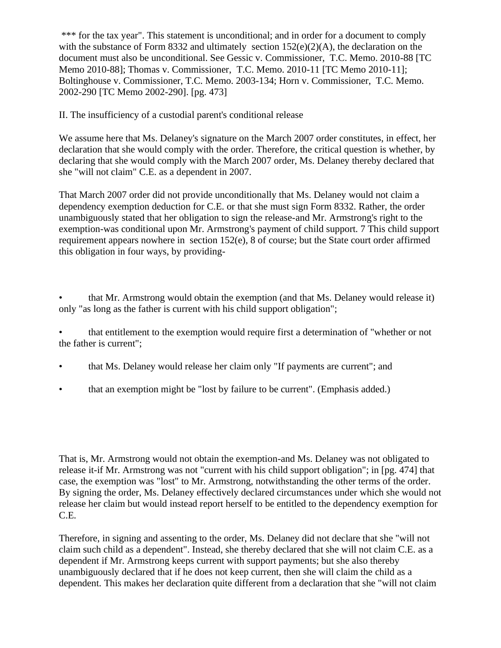\*\*\* for the tax year". This statement is unconditional; and in order for a document to comply with the substance of Form 8332 and ultimately section  $152(e)(2)(A)$ , the declaration on the document must also be unconditional. See Gessic v. Commissioner, T.C. Memo. 2010-88 [TC Memo 2010-88]; Thomas v. Commissioner, T.C. Memo. 2010-11 [TC Memo 2010-11]; Boltinghouse v. Commissioner, T.C. Memo. 2003-134; Horn v. Commissioner, T.C. Memo. 2002-290 [TC Memo 2002-290]. [pg. 473]

II. The insufficiency of a custodial parent's conditional release

We assume here that Ms. Delaney's signature on the March 2007 order constitutes, in effect, her declaration that she would comply with the order. Therefore, the critical question is whether, by declaring that she would comply with the March 2007 order, Ms. Delaney thereby declared that she "will not claim" C.E. as a dependent in 2007.

That March 2007 order did not provide unconditionally that Ms. Delaney would not claim a dependency exemption deduction for C.E. or that she must sign Form 8332. Rather, the order unambiguously stated that her obligation to sign the release-and Mr. Armstrong's right to the exemption-was conditional upon Mr. Armstrong's payment of child support. 7 This child support requirement appears nowhere in section 152(e), 8 of course; but the State court order affirmed this obligation in four ways, by providing-

• that Mr. Armstrong would obtain the exemption (and that Ms. Delaney would release it) only "as long as the father is current with his child support obligation";

• that entitlement to the exemption would require first a determination of "whether or not the father is current";

- that Ms. Delaney would release her claim only "If payments are current"; and
- that an exemption might be "lost by failure to be current". (Emphasis added.)

That is, Mr. Armstrong would not obtain the exemption-and Ms. Delaney was not obligated to release it-if Mr. Armstrong was not "current with his child support obligation"; in [pg. 474] that case, the exemption was "lost" to Mr. Armstrong, notwithstanding the other terms of the order. By signing the order, Ms. Delaney effectively declared circumstances under which she would not release her claim but would instead report herself to be entitled to the dependency exemption for C.E.

Therefore, in signing and assenting to the order, Ms. Delaney did not declare that she "will not claim such child as a dependent". Instead, she thereby declared that she will not claim C.E. as a dependent if Mr. Armstrong keeps current with support payments; but she also thereby unambiguously declared that if he does not keep current, then she will claim the child as a dependent. This makes her declaration quite different from a declaration that she "will not claim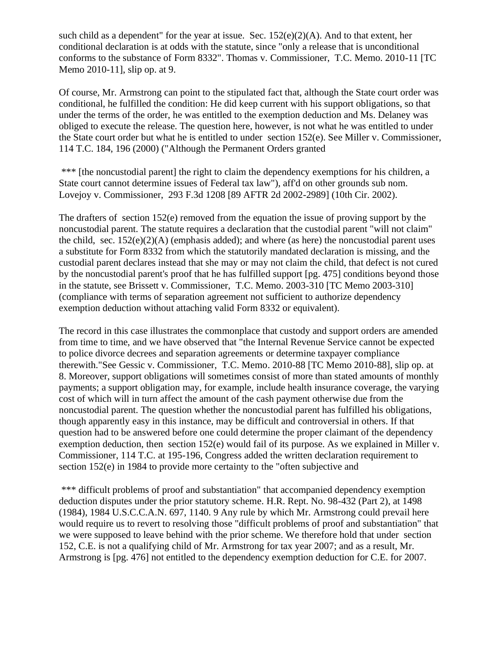such child as a dependent" for the year at issue. Sec.  $152(e)(2)(A)$ . And to that extent, her conditional declaration is at odds with the statute, since "only a release that is unconditional conforms to the substance of Form 8332". Thomas v. Commissioner, T.C. Memo. 2010-11 [TC Memo 2010-11], slip op. at 9.

Of course, Mr. Armstrong can point to the stipulated fact that, although the State court order was conditional, he fulfilled the condition: He did keep current with his support obligations, so that under the terms of the order, he was entitled to the exemption deduction and Ms. Delaney was obliged to execute the release. The question here, however, is not what he was entitled to under the State court order but what he is entitled to under section 152(e). See Miller v. Commissioner, 114 T.C. 184, 196 (2000) ("Although the Permanent Orders granted

\*\*\* [the noncustodial parent] the right to claim the dependency exemptions for his children, a State court cannot determine issues of Federal tax law"), aff'd on other grounds sub nom. Lovejoy v. Commissioner, 293 F.3d 1208 [89 AFTR 2d 2002-2989] (10th Cir. 2002).

The drafters of section 152(e) removed from the equation the issue of proving support by the noncustodial parent. The statute requires a declaration that the custodial parent "will not claim" the child, sec.  $152(e)(2)(A)$  (emphasis added); and where (as here) the noncustodial parent uses a substitute for Form 8332 from which the statutorily mandated declaration is missing, and the custodial parent declares instead that she may or may not claim the child, that defect is not cured by the noncustodial parent's proof that he has fulfilled support [pg. 475] conditions beyond those in the statute, see Brissett v. Commissioner, T.C. Memo. 2003-310 [TC Memo 2003-310] (compliance with terms of separation agreement not sufficient to authorize dependency exemption deduction without attaching valid Form 8332 or equivalent).

The record in this case illustrates the commonplace that custody and support orders are amended from time to time, and we have observed that "the Internal Revenue Service cannot be expected to police divorce decrees and separation agreements or determine taxpayer compliance therewith."See Gessic v. Commissioner, T.C. Memo. 2010-88 [TC Memo 2010-88], slip op. at 8. Moreover, support obligations will sometimes consist of more than stated amounts of monthly payments; a support obligation may, for example, include health insurance coverage, the varying cost of which will in turn affect the amount of the cash payment otherwise due from the noncustodial parent. The question whether the noncustodial parent has fulfilled his obligations, though apparently easy in this instance, may be difficult and controversial in others. If that question had to be answered before one could determine the proper claimant of the dependency exemption deduction, then section 152(e) would fail of its purpose. As we explained in Miller v. Commissioner, 114 T.C. at 195-196, Congress added the written declaration requirement to section 152(e) in 1984 to provide more certainty to the "often subjective and

\*\*\* difficult problems of proof and substantiation" that accompanied dependency exemption deduction disputes under the prior statutory scheme. H.R. Rept. No. 98-432 (Part 2), at 1498 (1984), 1984 U.S.C.C.A.N. 697, 1140. 9 Any rule by which Mr. Armstrong could prevail here would require us to revert to resolving those "difficult problems of proof and substantiation" that we were supposed to leave behind with the prior scheme. We therefore hold that under section 152, C.E. is not a qualifying child of Mr. Armstrong for tax year 2007; and as a result, Mr. Armstrong is [pg. 476] not entitled to the dependency exemption deduction for C.E. for 2007.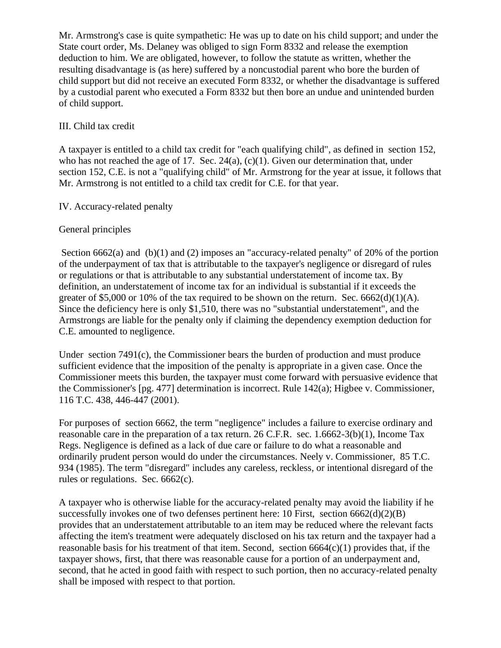Mr. Armstrong's case is quite sympathetic: He was up to date on his child support; and under the State court order, Ms. Delaney was obliged to sign Form 8332 and release the exemption deduction to him. We are obligated, however, to follow the statute as written, whether the resulting disadvantage is (as here) suffered by a noncustodial parent who bore the burden of child support but did not receive an executed Form 8332, or whether the disadvantage is suffered by a custodial parent who executed a Form 8332 but then bore an undue and unintended burden of child support.

### III. Child tax credit

A taxpayer is entitled to a child tax credit for "each qualifying child", as defined in section 152, who has not reached the age of 17. Sec. 24(a), (c)(1). Given our determination that, under section 152, C.E. is not a "qualifying child" of Mr. Armstrong for the year at issue, it follows that Mr. Armstrong is not entitled to a child tax credit for C.E. for that year.

#### IV. Accuracy-related penalty

#### General principles

Section 6662(a) and (b)(1) and (2) imposes an "accuracy-related penalty" of 20% of the portion of the underpayment of tax that is attributable to the taxpayer's negligence or disregard of rules or regulations or that is attributable to any substantial understatement of income tax. By definition, an understatement of income tax for an individual is substantial if it exceeds the greater of \$5,000 or 10% of the tax required to be shown on the return. Sec.  $6662(d)(1)(A)$ . Since the deficiency here is only \$1,510, there was no "substantial understatement", and the Armstrongs are liable for the penalty only if claiming the dependency exemption deduction for C.E. amounted to negligence.

Under section 7491(c), the Commissioner bears the burden of production and must produce sufficient evidence that the imposition of the penalty is appropriate in a given case. Once the Commissioner meets this burden, the taxpayer must come forward with persuasive evidence that the Commissioner's [pg. 477] determination is incorrect. Rule 142(a); Higbee v. Commissioner, 116 T.C. 438, 446-447 (2001).

For purposes of section 6662, the term "negligence" includes a failure to exercise ordinary and reasonable care in the preparation of a tax return. 26 C.F.R. sec. 1.6662-3(b)(1), Income Tax Regs. Negligence is defined as a lack of due care or failure to do what a reasonable and ordinarily prudent person would do under the circumstances. Neely v. Commissioner, 85 T.C. 934 (1985). The term "disregard" includes any careless, reckless, or intentional disregard of the rules or regulations. Sec. 6662(c).

A taxpayer who is otherwise liable for the accuracy-related penalty may avoid the liability if he successfully invokes one of two defenses pertinent here: 10 First, section  $6662(d)(2)(B)$ provides that an understatement attributable to an item may be reduced where the relevant facts affecting the item's treatment were adequately disclosed on his tax return and the taxpayer had a reasonable basis for his treatment of that item. Second, section  $6664(c)(1)$  provides that, if the taxpayer shows, first, that there was reasonable cause for a portion of an underpayment and, second, that he acted in good faith with respect to such portion, then no accuracy-related penalty shall be imposed with respect to that portion.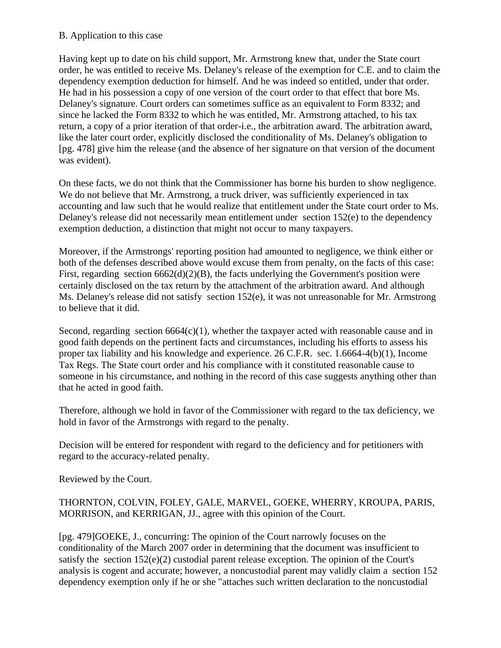#### B. Application to this case

Having kept up to date on his child support, Mr. Armstrong knew that, under the State court order, he was entitled to receive Ms. Delaney's release of the exemption for C.E. and to claim the dependency exemption deduction for himself. And he was indeed so entitled, under that order. He had in his possession a copy of one version of the court order to that effect that bore Ms. Delaney's signature. Court orders can sometimes suffice as an equivalent to Form 8332; and since he lacked the Form 8332 to which he was entitled, Mr. Armstrong attached, to his tax return, a copy of a prior iteration of that order-i.e., the arbitration award. The arbitration award, like the later court order, explicitly disclosed the conditionality of Ms. Delaney's obligation to [pg. 478] give him the release (and the absence of her signature on that version of the document was evident).

On these facts, we do not think that the Commissioner has borne his burden to show negligence. We do not believe that Mr. Armstrong, a truck driver, was sufficiently experienced in tax accounting and law such that he would realize that entitlement under the State court order to Ms. Delaney's release did not necessarily mean entitlement under section 152(e) to the dependency exemption deduction, a distinction that might not occur to many taxpayers.

Moreover, if the Armstrongs' reporting position had amounted to negligence, we think either or both of the defenses described above would excuse them from penalty, on the facts of this case: First, regarding section  $6662(d)(2)(B)$ , the facts underlying the Government's position were certainly disclosed on the tax return by the attachment of the arbitration award. And although Ms. Delaney's release did not satisfy section 152(e), it was not unreasonable for Mr. Armstrong to believe that it did.

Second, regarding section  $6664(c)(1)$ , whether the taxpayer acted with reasonable cause and in good faith depends on the pertinent facts and circumstances, including his efforts to assess his proper tax liability and his knowledge and experience. 26 C.F.R. sec. 1.6664-4(b)(1), Income Tax Regs. The State court order and his compliance with it constituted reasonable cause to someone in his circumstance, and nothing in the record of this case suggests anything other than that he acted in good faith.

Therefore, although we hold in favor of the Commissioner with regard to the tax deficiency, we hold in favor of the Armstrongs with regard to the penalty.

Decision will be entered for respondent with regard to the deficiency and for petitioners with regard to the accuracy-related penalty.

Reviewed by the Court.

# THORNTON, COLVIN, FOLEY, GALE, MARVEL, GOEKE, WHERRY, KROUPA, PARIS, MORRISON, and KERRIGAN, JJ., agree with this opinion of the Court.

[pg. 479]GOEKE, J., concurring: The opinion of the Court narrowly focuses on the conditionality of the March 2007 order in determining that the document was insufficient to satisfy the section 152(e)(2) custodial parent release exception. The opinion of the Court's analysis is cogent and accurate; however, a noncustodial parent may validly claim a section 152 dependency exemption only if he or she "attaches such written declaration to the noncustodial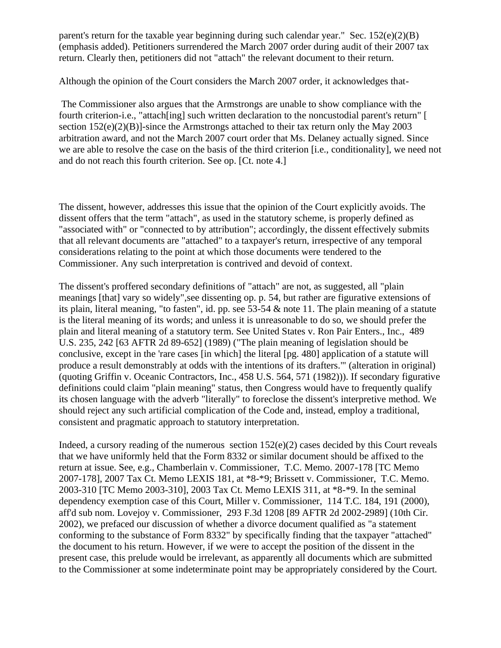parent's return for the taxable year beginning during such calendar year." Sec.  $152(e)(2)(B)$ (emphasis added). Petitioners surrendered the March 2007 order during audit of their 2007 tax return. Clearly then, petitioners did not "attach" the relevant document to their return.

Although the opinion of the Court considers the March 2007 order, it acknowledges that-

The Commissioner also argues that the Armstrongs are unable to show compliance with the fourth criterion-i.e., "attach[ing] such written declaration to the noncustodial parent's return" [ section  $152(e)(2)(B)$ ]-since the Armstrongs attached to their tax return only the May 2003 arbitration award, and not the March 2007 court order that Ms. Delaney actually signed. Since we are able to resolve the case on the basis of the third criterion [i.e., conditionality], we need not and do not reach this fourth criterion. See op. [Ct. note 4.]

The dissent, however, addresses this issue that the opinion of the Court explicitly avoids. The dissent offers that the term "attach", as used in the statutory scheme, is properly defined as "associated with" or "connected to by attribution"; accordingly, the dissent effectively submits that all relevant documents are "attached" to a taxpayer's return, irrespective of any temporal considerations relating to the point at which those documents were tendered to the Commissioner. Any such interpretation is contrived and devoid of context.

The dissent's proffered secondary definitions of "attach" are not, as suggested, all "plain meanings [that] vary so widely",see dissenting op. p. 54, but rather are figurative extensions of its plain, literal meaning, "to fasten", id. pp. see 53-54 & note 11. The plain meaning of a statute is the literal meaning of its words; and unless it is unreasonable to do so, we should prefer the plain and literal meaning of a statutory term. See United States v. Ron Pair Enters., Inc., 489 U.S. 235, 242 [63 AFTR 2d 89-652] (1989) ("The plain meaning of legislation should be conclusive, except in the 'rare cases [in which] the literal [pg. 480] application of a statute will produce a result demonstrably at odds with the intentions of its drafters.'" (alteration in original) (quoting Griffin v. Oceanic Contractors, Inc., 458 U.S. 564, 571 (1982))). If secondary figurative definitions could claim "plain meaning" status, then Congress would have to frequently qualify its chosen language with the adverb "literally" to foreclose the dissent's interpretive method. We should reject any such artificial complication of the Code and, instead, employ a traditional, consistent and pragmatic approach to statutory interpretation.

Indeed, a cursory reading of the numerous section 152(e)(2) cases decided by this Court reveals that we have uniformly held that the Form 8332 or similar document should be affixed to the return at issue. See, e.g., Chamberlain v. Commissioner, T.C. Memo. 2007-178 [TC Memo 2007-178], 2007 Tax Ct. Memo LEXIS 181, at \*8-\*9; Brissett v. Commissioner, T.C. Memo. 2003-310 [TC Memo 2003-310], 2003 Tax Ct. Memo LEXIS 311, at \*8-\*9. In the seminal dependency exemption case of this Court, Miller v. Commissioner, 114 T.C. 184, 191 (2000), aff'd sub nom. Lovejoy v. Commissioner, 293 F.3d 1208 [89 AFTR 2d 2002-2989] (10th Cir. 2002), we prefaced our discussion of whether a divorce document qualified as "a statement conforming to the substance of Form 8332" by specifically finding that the taxpayer "attached" the document to his return. However, if we were to accept the position of the dissent in the present case, this prelude would be irrelevant, as apparently all documents which are submitted to the Commissioner at some indeterminate point may be appropriately considered by the Court.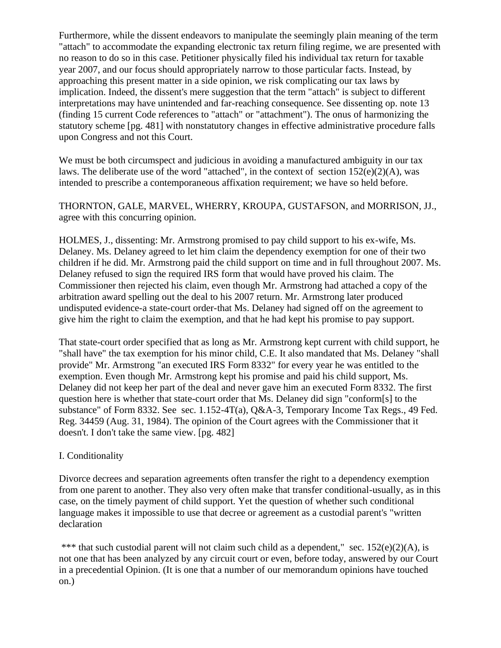Furthermore, while the dissent endeavors to manipulate the seemingly plain meaning of the term "attach" to accommodate the expanding electronic tax return filing regime, we are presented with no reason to do so in this case. Petitioner physically filed his individual tax return for taxable year 2007, and our focus should appropriately narrow to those particular facts. Instead, by approaching this present matter in a side opinion, we risk complicating our tax laws by implication. Indeed, the dissent's mere suggestion that the term "attach" is subject to different interpretations may have unintended and far-reaching consequence. See dissenting op. note 13 (finding 15 current Code references to "attach" or "attachment"). The onus of harmonizing the statutory scheme [pg. 481] with nonstatutory changes in effective administrative procedure falls upon Congress and not this Court.

We must be both circumspect and judicious in avoiding a manufactured ambiguity in our tax laws. The deliberate use of the word "attached", in the context of section  $152(e)(2)(A)$ , was intended to prescribe a contemporaneous affixation requirement; we have so held before.

THORNTON, GALE, MARVEL, WHERRY, KROUPA, GUSTAFSON, and MORRISON, JJ., agree with this concurring opinion.

HOLMES, J., dissenting: Mr. Armstrong promised to pay child support to his ex-wife, Ms. Delaney. Ms. Delaney agreed to let him claim the dependency exemption for one of their two children if he did. Mr. Armstrong paid the child support on time and in full throughout 2007. Ms. Delaney refused to sign the required IRS form that would have proved his claim. The Commissioner then rejected his claim, even though Mr. Armstrong had attached a copy of the arbitration award spelling out the deal to his 2007 return. Mr. Armstrong later produced undisputed evidence-a state-court order-that Ms. Delaney had signed off on the agreement to give him the right to claim the exemption, and that he had kept his promise to pay support.

That state-court order specified that as long as Mr. Armstrong kept current with child support, he "shall have" the tax exemption for his minor child, C.E. It also mandated that Ms. Delaney "shall provide" Mr. Armstrong "an executed IRS Form 8332" for every year he was entitled to the exemption. Even though Mr. Armstrong kept his promise and paid his child support, Ms. Delaney did not keep her part of the deal and never gave him an executed Form 8332. The first question here is whether that state-court order that Ms. Delaney did sign "conform[s] to the substance" of Form 8332. See sec. 1.152-4T(a), Q&A-3, Temporary Income Tax Regs., 49 Fed. Reg. 34459 (Aug. 31, 1984). The opinion of the Court agrees with the Commissioner that it doesn't. I don't take the same view. [pg. 482]

#### I. Conditionality

Divorce decrees and separation agreements often transfer the right to a dependency exemption from one parent to another. They also very often make that transfer conditional-usually, as in this case, on the timely payment of child support. Yet the question of whether such conditional language makes it impossible to use that decree or agreement as a custodial parent's "written declaration

\*\*\* that such custodial parent will not claim such child as a dependent," sec.  $152(e)(2)(A)$ , is not one that has been analyzed by any circuit court or even, before today, answered by our Court in a precedential Opinion. (It is one that a number of our memorandum opinions have touched on.)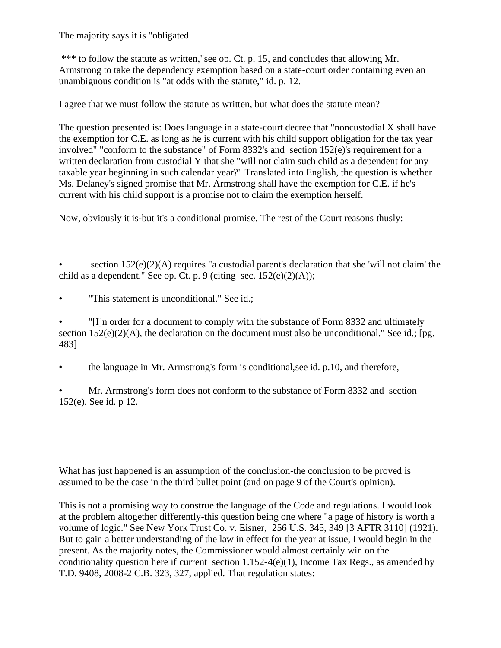The majority says it is "obligated

\*\*\* to follow the statute as written,"see op. Ct. p. 15, and concludes that allowing Mr. Armstrong to take the dependency exemption based on a state-court order containing even an unambiguous condition is "at odds with the statute," id. p. 12.

I agree that we must follow the statute as written, but what does the statute mean?

The question presented is: Does language in a state-court decree that "noncustodial X shall have the exemption for C.E. as long as he is current with his child support obligation for the tax year involved" "conform to the substance" of Form 8332's and section 152(e)'s requirement for a written declaration from custodial Y that she "will not claim such child as a dependent for any taxable year beginning in such calendar year?" Translated into English, the question is whether Ms. Delaney's signed promise that Mr. Armstrong shall have the exemption for C.E. if he's current with his child support is a promise not to claim the exemption herself.

Now, obviously it is-but it's a conditional promise. The rest of the Court reasons thusly:

section  $152(e)(2)(A)$  requires "a custodial parent's declaration that she 'will not claim' the child as a dependent." See op. Ct. p. 9 (citing sec.  $152(e)(2)(A)$ );

• "This statement is unconditional." See id.;

• "[I]n order for a document to comply with the substance of Form 8332 and ultimately section  $152(e)(2)(A)$ , the declaration on the document must also be unconditional." See id.; [pg. 483]

• the language in Mr. Armstrong's form is conditional,see id. p.10, and therefore,

• Mr. Armstrong's form does not conform to the substance of Form 8332 and section 152(e). See id. p 12.

What has just happened is an assumption of the conclusion-the conclusion to be proved is assumed to be the case in the third bullet point (and on page 9 of the Court's opinion).

This is not a promising way to construe the language of the Code and regulations. I would look at the problem altogether differently-this question being one where "a page of history is worth a volume of logic." See New York Trust Co. v. Eisner, 256 U.S. 345, 349 [3 AFTR 3110] (1921). But to gain a better understanding of the law in effect for the year at issue, I would begin in the present. As the majority notes, the Commissioner would almost certainly win on the conditionality question here if current section  $1.152-4(e)(1)$ , Income Tax Regs., as amended by T.D. 9408, 2008-2 C.B. 323, 327, applied. That regulation states: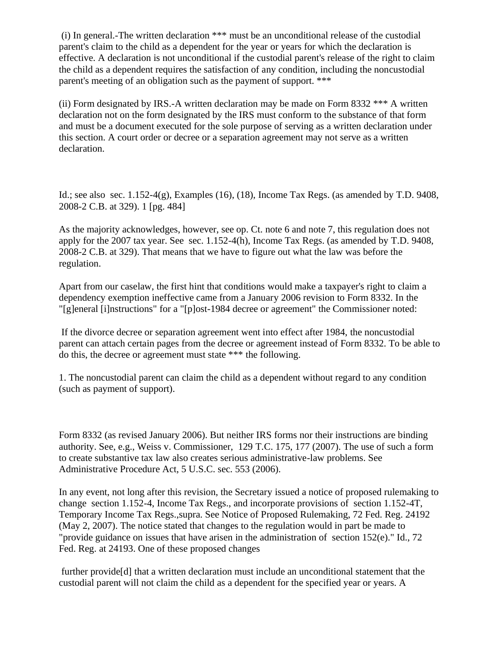(i) In general.-The written declaration \*\*\* must be an unconditional release of the custodial parent's claim to the child as a dependent for the year or years for which the declaration is effective. A declaration is not unconditional if the custodial parent's release of the right to claim the child as a dependent requires the satisfaction of any condition, including the noncustodial parent's meeting of an obligation such as the payment of support. \*\*\*

(ii) Form designated by IRS.-A written declaration may be made on Form  $8332$  \*\*\* A written declaration not on the form designated by the IRS must conform to the substance of that form and must be a document executed for the sole purpose of serving as a written declaration under this section. A court order or decree or a separation agreement may not serve as a written declaration.

Id.; see also sec. 1.152-4(g), Examples (16), (18), Income Tax Regs. (as amended by T.D. 9408, 2008-2 C.B. at 329). 1 [pg. 484]

As the majority acknowledges, however, see op. Ct. note 6 and note 7, this regulation does not apply for the 2007 tax year. See sec. 1.152-4(h), Income Tax Regs. (as amended by T.D. 9408, 2008-2 C.B. at 329). That means that we have to figure out what the law was before the regulation.

Apart from our caselaw, the first hint that conditions would make a taxpayer's right to claim a dependency exemption ineffective came from a January 2006 revision to Form 8332. In the "[g]eneral [i]nstructions" for a "[p]ost-1984 decree or agreement" the Commissioner noted:

If the divorce decree or separation agreement went into effect after 1984, the noncustodial parent can attach certain pages from the decree or agreement instead of Form 8332. To be able to do this, the decree or agreement must state \*\*\* the following.

1. The noncustodial parent can claim the child as a dependent without regard to any condition (such as payment of support).

Form 8332 (as revised January 2006). But neither IRS forms nor their instructions are binding authority. See, e.g., Weiss v. Commissioner, 129 T.C. 175, 177 (2007). The use of such a form to create substantive tax law also creates serious administrative-law problems. See Administrative Procedure Act, 5 U.S.C. sec. 553 (2006).

In any event, not long after this revision, the Secretary issued a notice of proposed rulemaking to change section 1.152-4, Income Tax Regs., and incorporate provisions of section 1.152-4T, Temporary Income Tax Regs.,supra. See Notice of Proposed Rulemaking, 72 Fed. Reg. 24192 (May 2, 2007). The notice stated that changes to the regulation would in part be made to "provide guidance on issues that have arisen in the administration of section 152(e)." Id., 72 Fed. Reg. at 24193. One of these proposed changes

further provide[d] that a written declaration must include an unconditional statement that the custodial parent will not claim the child as a dependent for the specified year or years. A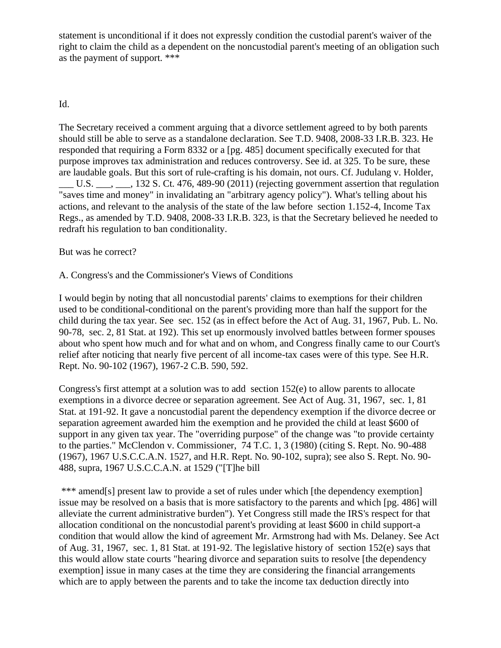statement is unconditional if it does not expressly condition the custodial parent's waiver of the right to claim the child as a dependent on the noncustodial parent's meeting of an obligation such as the payment of support. \*\*\*

### Id.

The Secretary received a comment arguing that a divorce settlement agreed to by both parents should still be able to serve as a standalone declaration. See T.D. 9408, 2008-33 I.R.B. 323. He responded that requiring a Form 8332 or a [pg. 485] document specifically executed for that purpose improves tax administration and reduces controversy. See id. at 325. To be sure, these are laudable goals. But this sort of rule-crafting is his domain, not ours. Cf. Judulang v. Holder, U.S.  $\ldots$ , 132 S. Ct. 476, 489-90 (2011) (rejecting government assertion that regulation "saves time and money" in invalidating an "arbitrary agency policy"). What's telling about his actions, and relevant to the analysis of the state of the law before section 1.152-4, Income Tax Regs., as amended by T.D. 9408, 2008-33 I.R.B. 323, is that the Secretary believed he needed to redraft his regulation to ban conditionality.

But was he correct?

A. Congress's and the Commissioner's Views of Conditions

I would begin by noting that all noncustodial parents' claims to exemptions for their children used to be conditional-conditional on the parent's providing more than half the support for the child during the tax year. See sec. 152 (as in effect before the Act of Aug. 31, 1967, Pub. L. No. 90-78, sec. 2, 81 Stat. at 192). This set up enormously involved battles between former spouses about who spent how much and for what and on whom, and Congress finally came to our Court's relief after noticing that nearly five percent of all income-tax cases were of this type. See H.R. Rept. No. 90-102 (1967), 1967-2 C.B. 590, 592.

Congress's first attempt at a solution was to add section 152(e) to allow parents to allocate exemptions in a divorce decree or separation agreement. See Act of Aug. 31, 1967, sec. 1, 81 Stat. at 191-92. It gave a noncustodial parent the dependency exemption if the divorce decree or separation agreement awarded him the exemption and he provided the child at least \$600 of support in any given tax year. The "overriding purpose" of the change was "to provide certainty to the parties." McClendon v. Commissioner, 74 T.C. 1, 3 (1980) (citing S. Rept. No. 90-488 (1967), 1967 U.S.C.C.A.N. 1527, and H.R. Rept. No. 90-102, supra); see also S. Rept. No. 90- 488, supra, 1967 U.S.C.C.A.N. at 1529 ("[T]he bill

\*\*\* amend[s] present law to provide a set of rules under which [the dependency exemption] issue may be resolved on a basis that is more satisfactory to the parents and which [pg. 486] will alleviate the current administrative burden"). Yet Congress still made the IRS's respect for that allocation conditional on the noncustodial parent's providing at least \$600 in child support-a condition that would allow the kind of agreement Mr. Armstrong had with Ms. Delaney. See Act of Aug. 31, 1967, sec. 1, 81 Stat. at 191-92. The legislative history of section 152(e) says that this would allow state courts "hearing divorce and separation suits to resolve [the dependency exemption] issue in many cases at the time they are considering the financial arrangements which are to apply between the parents and to take the income tax deduction directly into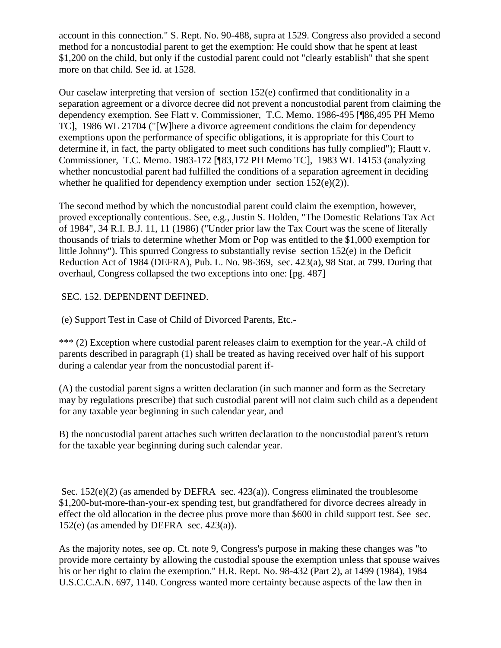account in this connection." S. Rept. No. 90-488, supra at 1529. Congress also provided a second method for a noncustodial parent to get the exemption: He could show that he spent at least \$1,200 on the child, but only if the custodial parent could not "clearly establish" that she spent more on that child. See id. at 1528.

Our caselaw interpreting that version of section 152(e) confirmed that conditionality in a separation agreement or a divorce decree did not prevent a noncustodial parent from claiming the dependency exemption. See Flatt v. Commissioner, T.C. Memo. 1986-495 [¶86,495 PH Memo TC], 1986 WL 21704 ("[W]here a divorce agreement conditions the claim for dependency exemptions upon the performance of specific obligations, it is appropriate for this Court to determine if, in fact, the party obligated to meet such conditions has fully complied"); Flautt v. Commissioner, T.C. Memo. 1983-172 [¶83,172 PH Memo TC], 1983 WL 14153 (analyzing whether noncustodial parent had fulfilled the conditions of a separation agreement in deciding whether he qualified for dependency exemption under section  $152(e)(2)$ ).

The second method by which the noncustodial parent could claim the exemption, however, proved exceptionally contentious. See, e.g., Justin S. Holden, "The Domestic Relations Tax Act of 1984", 34 R.I. B.J. 11, 11 (1986) ("Under prior law the Tax Court was the scene of literally thousands of trials to determine whether Mom or Pop was entitled to the \$1,000 exemption for little Johnny"). This spurred Congress to substantially revise section 152(e) in the Deficit Reduction Act of 1984 (DEFRA), Pub. L. No. 98-369, sec. 423(a), 98 Stat. at 799. During that overhaul, Congress collapsed the two exceptions into one: [pg. 487]

# SEC. 152. DEPENDENT DEFINED.

(e) Support Test in Case of Child of Divorced Parents, Etc.-

\*\*\* (2) Exception where custodial parent releases claim to exemption for the year.-A child of parents described in paragraph (1) shall be treated as having received over half of his support during a calendar year from the noncustodial parent if-

(A) the custodial parent signs a written declaration (in such manner and form as the Secretary may by regulations prescribe) that such custodial parent will not claim such child as a dependent for any taxable year beginning in such calendar year, and

B) the noncustodial parent attaches such written declaration to the noncustodial parent's return for the taxable year beginning during such calendar year.

Sec. 152(e)(2) (as amended by DEFRA sec. 423(a)). Congress eliminated the troublesome \$1,200-but-more-than-your-ex spending test, but grandfathered for divorce decrees already in effect the old allocation in the decree plus prove more than \$600 in child support test. See sec. 152(e) (as amended by DEFRA sec.  $423(a)$ ).

As the majority notes, see op. Ct. note 9, Congress's purpose in making these changes was "to provide more certainty by allowing the custodial spouse the exemption unless that spouse waives his or her right to claim the exemption." H.R. Rept. No. 98-432 (Part 2), at 1499 (1984), 1984 U.S.C.C.A.N. 697, 1140. Congress wanted more certainty because aspects of the law then in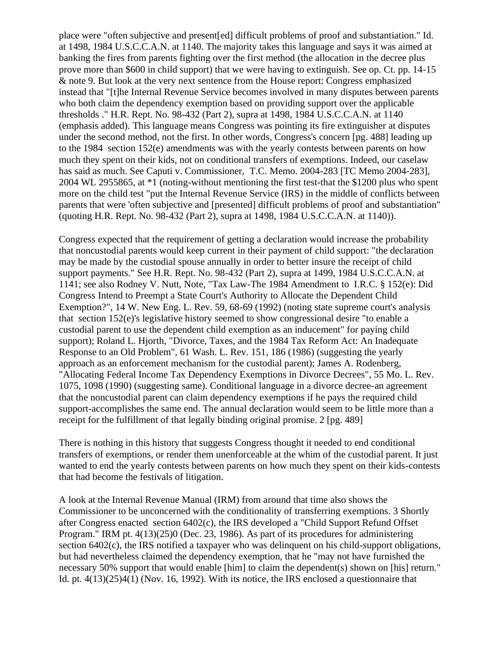place were "often subjective and present[ed] difficult problems of proof and substantiation." Id. at 1498, 1984 U.S.C.C.A.N. at 1140. The majority takes this language and says it was aimed at banking the fires from parents fighting over the first method (the allocation in the decree plus prove more than \$600 in child support) that we were having to extinguish. See op. Ct. pp. 14-15 & note 9. But look at the very next sentence from the House report: Congress emphasized instead that "[t]he Internal Revenue Service becomes involved in many disputes between parents who both claim the dependency exemption based on providing support over the applicable thresholds ." H.R. Rept. No. 98-432 (Part 2), supra at 1498, 1984 U.S.C.C.A.N. at 1140 (emphasis added). This language means Congress was pointing its fire extinguisher at disputes under the second method, not the first. In other words, Congress's concern [pg. 488] leading up to the 1984 section 152(e) amendments was with the yearly contests between parents on how much they spent on their kids, not on conditional transfers of exemptions. Indeed, our caselaw has said as much. See Caputi v. Commissioner, T.C. Memo. 2004-283 [TC Memo 2004-283], 2004 WL 2955865, at \*1 (noting-without mentioning the first test-that the \$1200 plus who spent more on the child test "put the Internal Revenue Service (IRS) in the middle of conflicts between parents that were 'often subjective and [presented] difficult problems of proof and substantiation" (quoting H.R. Rept. No. 98-432 (Part 2), supra at 1498, 1984 U.S.C.C.A.N. at 1140)).

Congress expected that the requirement of getting a declaration would increase the probability that noncustodial parents would keep current in their payment of child support: "the declaration may be made by the custodial spouse annually in order to better insure the receipt of child support payments." See H.R. Rept. No. 98-432 (Part 2), supra at 1499, 1984 U.S.C.C.A.N. at 1141; see also Rodney V. Nutt, Note, "Tax Law-The 1984 Amendment to I.R.C. § 152(e): Did Congress Intend to Preempt a State Court's Authority to Allocate the Dependent Child Exemption?", 14 W. New Eng. L. Rev. 59, 68-69 (1992) (noting state supreme court's analysis that section 152(e)'s legislative history seemed to show congressional desire "to enable a custodial parent to use the dependent child exemption as an inducement" for paying child support); Roland L. Hjorth, "Divorce, Taxes, and the 1984 Tax Reform Act: An Inadequate Response to an Old Problem", 61 Wash. L. Rev. 151, 186 (1986) (suggesting the yearly approach as an enforcement mechanism for the custodial parent); James A. Rodenberg, "Allocating Federal Income Tax Dependency Exemptions in Divorce Decrees", 55 Mo. L. Rev. 1075, 1098 (1990) (suggesting same). Conditional language in a divorce decree-an agreement that the noncustodial parent can claim dependency exemptions if he pays the required child support-accomplishes the same end. The annual declaration would seem to be little more than a receipt for the fulfillment of that legally binding original promise. 2 [pg. 489]

There is nothing in this history that suggests Congress thought it needed to end conditional transfers of exemptions, or render them unenforceable at the whim of the custodial parent. It just wanted to end the yearly contests between parents on how much they spent on their kids-contests that had become the festivals of litigation.

A look at the Internal Revenue Manual (IRM) from around that time also shows the Commissioner to be unconcerned with the conditionality of transferring exemptions. 3 Shortly after Congress enacted section 6402(c), the IRS developed a "Child Support Refund Offset Program." IRM pt. 4(13)(25)0 (Dec. 23, 1986). As part of its procedures for administering section 6402(c), the IRS notified a taxpayer who was delinquent on his child-support obligations, but had nevertheless claimed the dependency exemption, that he "may not have furnished the necessary 50% support that would enable [him] to claim the dependent(s) shown on [his] return." Id. pt. 4(13)(25)4(1) (Nov. 16, 1992). With its notice, the IRS enclosed a questionnaire that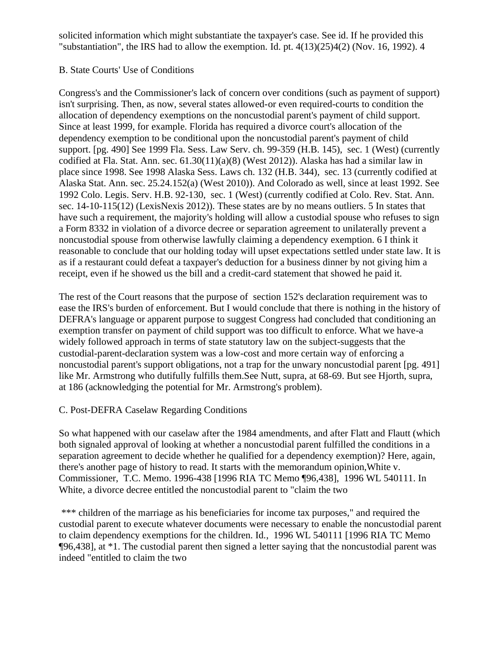solicited information which might substantiate the taxpayer's case. See id. If he provided this "substantiation", the IRS had to allow the exemption. Id. pt. 4(13)(25)4(2) (Nov. 16, 1992). 4

# B. State Courts' Use of Conditions

Congress's and the Commissioner's lack of concern over conditions (such as payment of support) isn't surprising. Then, as now, several states allowed-or even required-courts to condition the allocation of dependency exemptions on the noncustodial parent's payment of child support. Since at least 1999, for example. Florida has required a divorce court's allocation of the dependency exemption to be conditional upon the noncustodial parent's payment of child support. [pg. 490] See 1999 Fla. Sess. Law Serv. ch. 99-359 (H.B. 145), sec. 1 (West) (currently codified at Fla. Stat. Ann. sec. 61.30(11)(a)(8) (West 2012)). Alaska has had a similar law in place since 1998. See 1998 Alaska Sess. Laws ch. 132 (H.B. 344), sec. 13 (currently codified at Alaska Stat. Ann. sec. 25.24.152(a) (West 2010)). And Colorado as well, since at least 1992. See 1992 Colo. Legis. Serv. H.B. 92-130, sec. 1 (West) (currently codified at Colo. Rev. Stat. Ann. sec. 14-10-115(12) (LexisNexis 2012)). These states are by no means outliers. 5 In states that have such a requirement, the majority's holding will allow a custodial spouse who refuses to sign a Form 8332 in violation of a divorce decree or separation agreement to unilaterally prevent a noncustodial spouse from otherwise lawfully claiming a dependency exemption. 6 I think it reasonable to conclude that our holding today will upset expectations settled under state law. It is as if a restaurant could defeat a taxpayer's deduction for a business dinner by not giving him a receipt, even if he showed us the bill and a credit-card statement that showed he paid it.

The rest of the Court reasons that the purpose of section 152's declaration requirement was to ease the IRS's burden of enforcement. But I would conclude that there is nothing in the history of DEFRA's language or apparent purpose to suggest Congress had concluded that conditioning an exemption transfer on payment of child support was too difficult to enforce. What we have-a widely followed approach in terms of state statutory law on the subject-suggests that the custodial-parent-declaration system was a low-cost and more certain way of enforcing a noncustodial parent's support obligations, not a trap for the unwary noncustodial parent [pg. 491] like Mr. Armstrong who dutifully fulfills them.See Nutt, supra, at 68-69. But see Hjorth, supra, at 186 (acknowledging the potential for Mr. Armstrong's problem).

# C. Post-DEFRA Caselaw Regarding Conditions

So what happened with our caselaw after the 1984 amendments, and after Flatt and Flautt (which both signaled approval of looking at whether a noncustodial parent fulfilled the conditions in a separation agreement to decide whether he qualified for a dependency exemption)? Here, again, there's another page of history to read. It starts with the memorandum opinion,White v. Commissioner, T.C. Memo. 1996-438 [1996 RIA TC Memo ¶96,438], 1996 WL 540111. In White, a divorce decree entitled the noncustodial parent to "claim the two

\*\*\* children of the marriage as his beneficiaries for income tax purposes," and required the custodial parent to execute whatever documents were necessary to enable the noncustodial parent to claim dependency exemptions for the children. Id., 1996 WL 540111 [1996 RIA TC Memo ¶96,438], at \*1. The custodial parent then signed a letter saying that the noncustodial parent was indeed "entitled to claim the two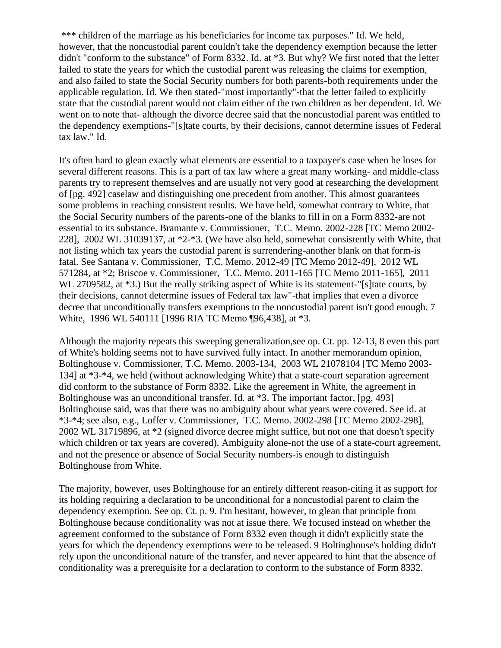\*\*\* children of the marriage as his beneficiaries for income tax purposes." Id. We held, however, that the noncustodial parent couldn't take the dependency exemption because the letter didn't "conform to the substance" of Form 8332. Id. at \*3. But why? We first noted that the letter failed to state the years for which the custodial parent was releasing the claims for exemption, and also failed to state the Social Security numbers for both parents-both requirements under the applicable regulation. Id. We then stated-"most importantly"-that the letter failed to explicitly state that the custodial parent would not claim either of the two children as her dependent. Id. We went on to note that- although the divorce decree said that the noncustodial parent was entitled to the dependency exemptions-"[s]tate courts, by their decisions, cannot determine issues of Federal tax law." Id.

It's often hard to glean exactly what elements are essential to a taxpayer's case when he loses for several different reasons. This is a part of tax law where a great many working- and middle-class parents try to represent themselves and are usually not very good at researching the development of [pg. 492] caselaw and distinguishing one precedent from another. This almost guarantees some problems in reaching consistent results. We have held, somewhat contrary to White, that the Social Security numbers of the parents-one of the blanks to fill in on a Form 8332-are not essential to its substance. Bramante v. Commissioner, T.C. Memo. 2002-228 [TC Memo 2002- 228], 2002 WL 31039137, at \*2-\*3. (We have also held, somewhat consistently with White, that not listing which tax years the custodial parent is surrendering-another blank on that form-is fatal. See Santana v. Commissioner, T.C. Memo. 2012-49 [TC Memo 2012-49], 2012 WL 571284, at \*2; Briscoe v. Commissioner, T.C. Memo. 2011-165 [TC Memo 2011-165], 2011 WL 2709582, at  $*3$ .) But the really striking aspect of White is its statement-"[s]tate courts, by their decisions, cannot determine issues of Federal tax law"-that implies that even a divorce decree that unconditionally transfers exemptions to the noncustodial parent isn't good enough. 7 White, 1996 WL 540111 [1996 RIA TC Memo ¶96,438], at \*3.

Although the majority repeats this sweeping generalization,see op. Ct. pp. 12-13, 8 even this part of White's holding seems not to have survived fully intact. In another memorandum opinion, Boltinghouse v. Commissioner, T.C. Memo. 2003-134, 2003 WL 21078104 [TC Memo 2003- 134] at \*3-\*4, we held (without acknowledging White) that a state-court separation agreement did conform to the substance of Form 8332. Like the agreement in White, the agreement in Boltinghouse was an unconditional transfer. Id. at \*3. The important factor, [pg. 493] Boltinghouse said, was that there was no ambiguity about what years were covered. See id. at \*3-\*4; see also, e.g., Loffer v. Commissioner, T.C. Memo. 2002-298 [TC Memo 2002-298], 2002 WL 31719896, at \*2 (signed divorce decree might suffice, but not one that doesn't specify which children or tax years are covered). Ambiguity alone-not the use of a state-court agreement, and not the presence or absence of Social Security numbers-is enough to distinguish Boltinghouse from White.

The majority, however, uses Boltinghouse for an entirely different reason-citing it as support for its holding requiring a declaration to be unconditional for a noncustodial parent to claim the dependency exemption. See op. Ct. p. 9. I'm hesitant, however, to glean that principle from Boltinghouse because conditionality was not at issue there. We focused instead on whether the agreement conformed to the substance of Form 8332 even though it didn't explicitly state the years for which the dependency exemptions were to be released. 9 Boltinghouse's holding didn't rely upon the unconditional nature of the transfer, and never appeared to hint that the absence of conditionality was a prerequisite for a declaration to conform to the substance of Form 8332.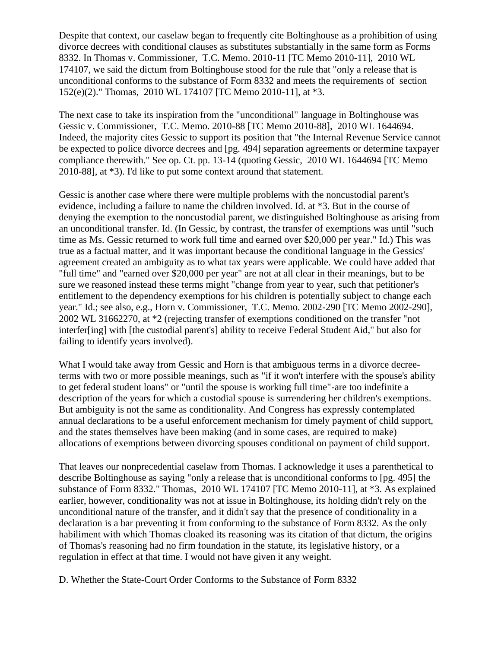Despite that context, our caselaw began to frequently cite Boltinghouse as a prohibition of using divorce decrees with conditional clauses as substitutes substantially in the same form as Forms 8332. In Thomas v. Commissioner, T.C. Memo. 2010-11 [TC Memo 2010-11], 2010 WL 174107, we said the dictum from Boltinghouse stood for the rule that "only a release that is unconditional conforms to the substance of Form 8332 and meets the requirements of section 152(e)(2)." Thomas, 2010 WL 174107 [TC Memo 2010-11], at \*3.

The next case to take its inspiration from the "unconditional" language in Boltinghouse was Gessic v. Commissioner, T.C. Memo. 2010-88 [TC Memo 2010-88], 2010 WL 1644694. Indeed, the majority cites Gessic to support its position that "the Internal Revenue Service cannot be expected to police divorce decrees and [pg. 494] separation agreements or determine taxpayer compliance therewith." See op. Ct. pp. 13-14 (quoting Gessic, 2010 WL 1644694 [TC Memo 2010-88], at \*3). I'd like to put some context around that statement.

Gessic is another case where there were multiple problems with the noncustodial parent's evidence, including a failure to name the children involved. Id. at \*3. But in the course of denying the exemption to the noncustodial parent, we distinguished Boltinghouse as arising from an unconditional transfer. Id. (In Gessic, by contrast, the transfer of exemptions was until "such time as Ms. Gessic returned to work full time and earned over \$20,000 per year." Id.) This was true as a factual matter, and it was important because the conditional language in the Gessics' agreement created an ambiguity as to what tax years were applicable. We could have added that "full time" and "earned over \$20,000 per year" are not at all clear in their meanings, but to be sure we reasoned instead these terms might "change from year to year, such that petitioner's entitlement to the dependency exemptions for his children is potentially subject to change each year." Id.; see also, e.g., Horn v. Commissioner, T.C. Memo. 2002-290 [TC Memo 2002-290], 2002 WL 31662270, at \*2 (rejecting transfer of exemptions conditioned on the transfer "not interfer[ing] with [the custodial parent's] ability to receive Federal Student Aid," but also for failing to identify years involved).

What I would take away from Gessic and Horn is that ambiguous terms in a divorce decreeterms with two or more possible meanings, such as "if it won't interfere with the spouse's ability to get federal student loans" or "until the spouse is working full time"-are too indefinite a description of the years for which a custodial spouse is surrendering her children's exemptions. But ambiguity is not the same as conditionality. And Congress has expressly contemplated annual declarations to be a useful enforcement mechanism for timely payment of child support, and the states themselves have been making (and in some cases, are required to make) allocations of exemptions between divorcing spouses conditional on payment of child support.

That leaves our nonprecedential caselaw from Thomas. I acknowledge it uses a parenthetical to describe Boltinghouse as saying "only a release that is unconditional conforms to [pg. 495] the substance of Form 8332." Thomas, 2010 WL 174107 [TC Memo 2010-11], at \*3. As explained earlier, however, conditionality was not at issue in Boltinghouse, its holding didn't rely on the unconditional nature of the transfer, and it didn't say that the presence of conditionality in a declaration is a bar preventing it from conforming to the substance of Form 8332. As the only habiliment with which Thomas cloaked its reasoning was its citation of that dictum, the origins of Thomas's reasoning had no firm foundation in the statute, its legislative history, or a regulation in effect at that time. I would not have given it any weight.

D. Whether the State-Court Order Conforms to the Substance of Form 8332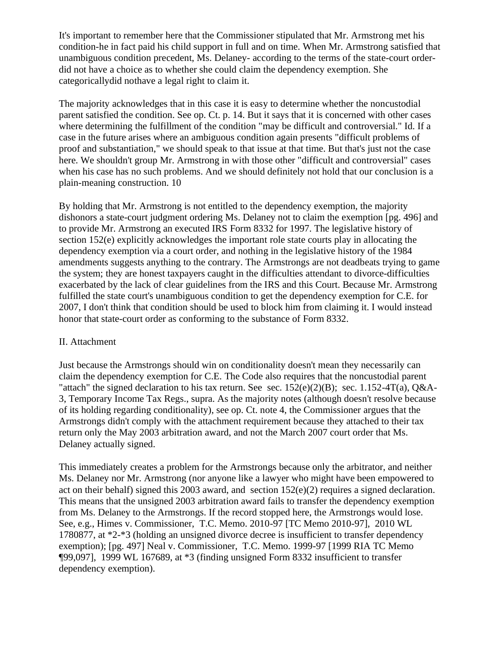It's important to remember here that the Commissioner stipulated that Mr. Armstrong met his condition-he in fact paid his child support in full and on time. When Mr. Armstrong satisfied that unambiguous condition precedent, Ms. Delaney- according to the terms of the state-court orderdid not have a choice as to whether she could claim the dependency exemption. She categoricallydid nothave a legal right to claim it.

The majority acknowledges that in this case it is easy to determine whether the noncustodial parent satisfied the condition. See op. Ct. p. 14. But it says that it is concerned with other cases where determining the fulfillment of the condition "may be difficult and controversial." Id. If a case in the future arises where an ambiguous condition again presents "difficult problems of proof and substantiation," we should speak to that issue at that time. But that's just not the case here. We shouldn't group Mr. Armstrong in with those other "difficult and controversial" cases when his case has no such problems. And we should definitely not hold that our conclusion is a plain-meaning construction. 10

By holding that Mr. Armstrong is not entitled to the dependency exemption, the majority dishonors a state-court judgment ordering Ms. Delaney not to claim the exemption [pg. 496] and to provide Mr. Armstrong an executed IRS Form 8332 for 1997. The legislative history of section 152(e) explicitly acknowledges the important role state courts play in allocating the dependency exemption via a court order, and nothing in the legislative history of the 1984 amendments suggests anything to the contrary. The Armstrongs are not deadbeats trying to game the system; they are honest taxpayers caught in the difficulties attendant to divorce-difficulties exacerbated by the lack of clear guidelines from the IRS and this Court. Because Mr. Armstrong fulfilled the state court's unambiguous condition to get the dependency exemption for C.E. for 2007, I don't think that condition should be used to block him from claiming it. I would instead honor that state-court order as conforming to the substance of Form 8332.

#### II. Attachment

Just because the Armstrongs should win on conditionality doesn't mean they necessarily can claim the dependency exemption for C.E. The Code also requires that the noncustodial parent "attach" the signed declaration to his tax return. See sec.  $152(e)(2)(B)$ ; sec.  $1.152-4T(a)$ , Q&A-3, Temporary Income Tax Regs., supra. As the majority notes (although doesn't resolve because of its holding regarding conditionality), see op. Ct. note 4, the Commissioner argues that the Armstrongs didn't comply with the attachment requirement because they attached to their tax return only the May 2003 arbitration award, and not the March 2007 court order that Ms. Delaney actually signed.

This immediately creates a problem for the Armstrongs because only the arbitrator, and neither Ms. Delaney nor Mr. Armstrong (nor anyone like a lawyer who might have been empowered to act on their behalf) signed this 2003 award, and section  $152(e)(2)$  requires a signed declaration. This means that the unsigned 2003 arbitration award fails to transfer the dependency exemption from Ms. Delaney to the Armstrongs. If the record stopped here, the Armstrongs would lose. See, e.g., Himes v. Commissioner, T.C. Memo. 2010-97 [TC Memo 2010-97], 2010 WL 1780877, at \*2-\*3 (holding an unsigned divorce decree is insufficient to transfer dependency exemption); [pg. 497] Neal v. Commissioner, T.C. Memo. 1999-97 [1999 RIA TC Memo ¶99,097], 1999 WL 167689, at \*3 (finding unsigned Form 8332 insufficient to transfer dependency exemption).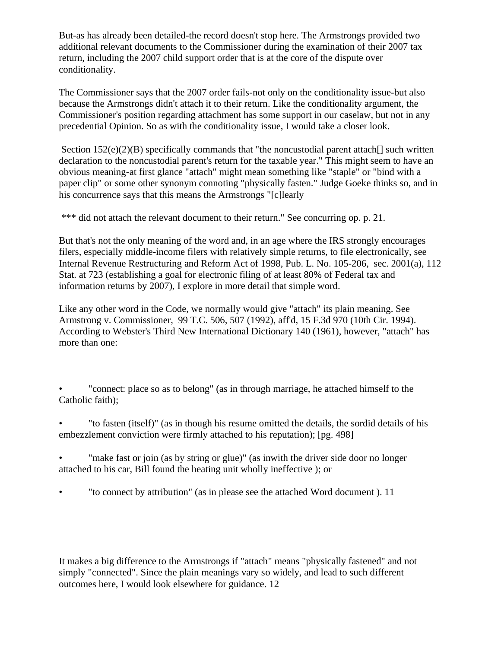But-as has already been detailed-the record doesn't stop here. The Armstrongs provided two additional relevant documents to the Commissioner during the examination of their 2007 tax return, including the 2007 child support order that is at the core of the dispute over conditionality.

The Commissioner says that the 2007 order fails-not only on the conditionality issue-but also because the Armstrongs didn't attach it to their return. Like the conditionality argument, the Commissioner's position regarding attachment has some support in our caselaw, but not in any precedential Opinion. So as with the conditionality issue, I would take a closer look.

Section  $152(e)(2)(B)$  specifically commands that "the noncustodial parent attach<sup>[]</sup> such written declaration to the noncustodial parent's return for the taxable year." This might seem to have an obvious meaning-at first glance "attach" might mean something like "staple" or "bind with a paper clip" or some other synonym connoting "physically fasten." Judge Goeke thinks so, and in his concurrence says that this means the Armstrongs "[c]learly

\*\*\* did not attach the relevant document to their return." See concurring op. p. 21.

But that's not the only meaning of the word and, in an age where the IRS strongly encourages filers, especially middle-income filers with relatively simple returns, to file electronically, see Internal Revenue Restructuring and Reform Act of 1998, Pub. L. No. 105-206, sec. 2001(a), 112 Stat. at 723 (establishing a goal for electronic filing of at least 80% of Federal tax and information returns by 2007), I explore in more detail that simple word.

Like any other word in the Code, we normally would give "attach" its plain meaning. See Armstrong v. Commissioner, 99 T.C. 506, 507 (1992), aff'd, 15 F.3d 970 (10th Cir. 1994). According to Webster's Third New International Dictionary 140 (1961), however, "attach" has more than one:

"connect: place so as to belong" (as in through marriage, he attached himself to the Catholic faith);

• "to fasten (itself)" (as in though his resume omitted the details, the sordid details of his embezzlement conviction were firmly attached to his reputation); [pg. 498]

"make fast or join (as by string or glue)" (as inwith the driver side door no longer attached to his car, Bill found the heating unit wholly ineffective ); or

• "to connect by attribution" (as in please see the attached Word document ). 11

It makes a big difference to the Armstrongs if "attach" means "physically fastened" and not simply "connected". Since the plain meanings vary so widely, and lead to such different outcomes here, I would look elsewhere for guidance. 12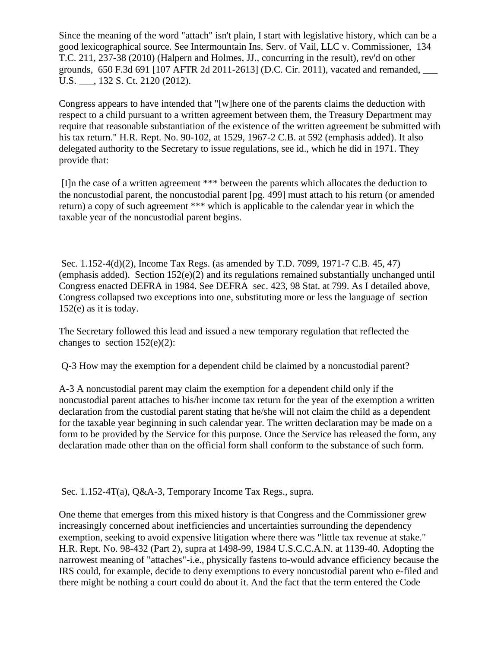Since the meaning of the word "attach" isn't plain, I start with legislative history, which can be a good lexicographical source. See Intermountain Ins. Serv. of Vail, LLC v. Commissioner, 134 T.C. 211, 237-38 (2010) (Halpern and Holmes, JJ., concurring in the result), rev'd on other grounds, 650 F.3d 691 [107 AFTR 2d 2011-2613] (D.C. Cir. 2011), vacated and remanded, \_\_\_ U.S. \_\_\_, 132 S. Ct. 2120 (2012).

Congress appears to have intended that "[w]here one of the parents claims the deduction with respect to a child pursuant to a written agreement between them, the Treasury Department may require that reasonable substantiation of the existence of the written agreement be submitted with his tax return." H.R. Rept. No. 90-102, at 1529, 1967-2 C.B. at 592 (emphasis added). It also delegated authority to the Secretary to issue regulations, see id., which he did in 1971. They provide that:

[I]n the case of a written agreement \*\*\* between the parents which allocates the deduction to the noncustodial parent, the noncustodial parent [pg. 499] must attach to his return (or amended return) a copy of such agreement \*\*\* which is applicable to the calendar year in which the taxable year of the noncustodial parent begins.

Sec. 1.152-4(d)(2), Income Tax Regs. (as amended by T.D. 7099, 1971-7 C.B. 45, 47) (emphasis added). Section 152(e)(2) and its regulations remained substantially unchanged until Congress enacted DEFRA in 1984. See DEFRA sec. 423, 98 Stat. at 799. As I detailed above, Congress collapsed two exceptions into one, substituting more or less the language of section 152(e) as it is today.

The Secretary followed this lead and issued a new temporary regulation that reflected the changes to section 152(e)(2):

Q-3 How may the exemption for a dependent child be claimed by a noncustodial parent?

A-3 A noncustodial parent may claim the exemption for a dependent child only if the noncustodial parent attaches to his/her income tax return for the year of the exemption a written declaration from the custodial parent stating that he/she will not claim the child as a dependent for the taxable year beginning in such calendar year. The written declaration may be made on a form to be provided by the Service for this purpose. Once the Service has released the form, any declaration made other than on the official form shall conform to the substance of such form.

Sec. 1.152-4T(a), Q&A-3, Temporary Income Tax Regs., supra.

One theme that emerges from this mixed history is that Congress and the Commissioner grew increasingly concerned about inefficiencies and uncertainties surrounding the dependency exemption, seeking to avoid expensive litigation where there was "little tax revenue at stake." H.R. Rept. No. 98-432 (Part 2), supra at 1498-99, 1984 U.S.C.C.A.N. at 1139-40. Adopting the narrowest meaning of "attaches"-i.e., physically fastens to-would advance efficiency because the IRS could, for example, decide to deny exemptions to every noncustodial parent who e-filed and there might be nothing a court could do about it. And the fact that the term entered the Code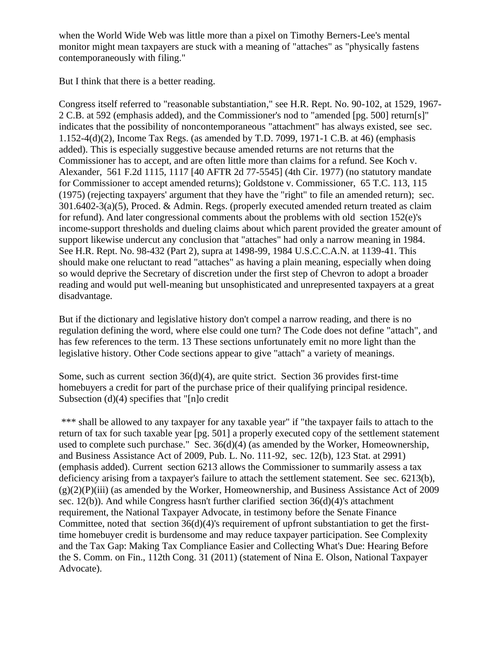when the World Wide Web was little more than a pixel on Timothy Berners-Lee's mental monitor might mean taxpayers are stuck with a meaning of "attaches" as "physically fastens contemporaneously with filing."

But I think that there is a better reading.

Congress itself referred to "reasonable substantiation," see H.R. Rept. No. 90-102, at 1529, 1967- 2 C.B. at 592 (emphasis added), and the Commissioner's nod to "amended [pg. 500] return[s]" indicates that the possibility of noncontemporaneous "attachment" has always existed, see sec. 1.152-4(d)(2), Income Tax Regs. (as amended by T.D. 7099, 1971-1 C.B. at 46) (emphasis added). This is especially suggestive because amended returns are not returns that the Commissioner has to accept, and are often little more than claims for a refund. See Koch v. Alexander, 561 F.2d 1115, 1117 [40 AFTR 2d 77-5545] (4th Cir. 1977) (no statutory mandate for Commissioner to accept amended returns); Goldstone v. Commissioner, 65 T.C. 113, 115 (1975) (rejecting taxpayers' argument that they have the "right" to file an amended return); sec. 301.6402-3(a)(5), Proced. & Admin. Regs. (properly executed amended return treated as claim for refund). And later congressional comments about the problems with old section 152(e)'s income-support thresholds and dueling claims about which parent provided the greater amount of support likewise undercut any conclusion that "attaches" had only a narrow meaning in 1984. See H.R. Rept. No. 98-432 (Part 2), supra at 1498-99, 1984 U.S.C.C.A.N. at 1139-41. This should make one reluctant to read "attaches" as having a plain meaning, especially when doing so would deprive the Secretary of discretion under the first step of Chevron to adopt a broader reading and would put well-meaning but unsophisticated and unrepresented taxpayers at a great disadvantage.

But if the dictionary and legislative history don't compel a narrow reading, and there is no regulation defining the word, where else could one turn? The Code does not define "attach", and has few references to the term. 13 These sections unfortunately emit no more light than the legislative history. Other Code sections appear to give "attach" a variety of meanings.

Some, such as current section 36(d)(4), are quite strict. Section 36 provides first-time homebuyers a credit for part of the purchase price of their qualifying principal residence. Subsection (d)(4) specifies that "[n]o credit

\*\*\* shall be allowed to any taxpayer for any taxable year" if "the taxpayer fails to attach to the return of tax for such taxable year [pg. 501] a properly executed copy of the settlement statement used to complete such purchase." Sec. 36(d)(4) (as amended by the Worker, Homeownership, and Business Assistance Act of 2009, Pub. L. No. 111-92, sec. 12(b), 123 Stat. at 2991) (emphasis added). Current section 6213 allows the Commissioner to summarily assess a tax deficiency arising from a taxpayer's failure to attach the settlement statement. See sec. 6213(b),  $(g)(2)(P)(iii)$  (as amended by the Worker, Homeownership, and Business Assistance Act of 2009 sec. 12(b)). And while Congress hasn't further clarified section 36(d)(4)'s attachment requirement, the National Taxpayer Advocate, in testimony before the Senate Finance Committee, noted that section  $36(d)(4)$ 's requirement of upfront substantiation to get the firsttime homebuyer credit is burdensome and may reduce taxpayer participation. See Complexity and the Tax Gap: Making Tax Compliance Easier and Collecting What's Due: Hearing Before the S. Comm. on Fin., 112th Cong. 31 (2011) (statement of Nina E. Olson, National Taxpayer Advocate).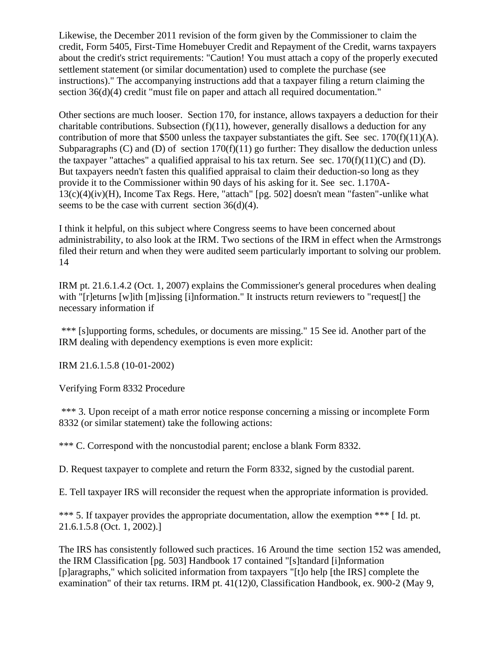Likewise, the December 2011 revision of the form given by the Commissioner to claim the credit, Form 5405, First-Time Homebuyer Credit and Repayment of the Credit, warns taxpayers about the credit's strict requirements: "Caution! You must attach a copy of the properly executed settlement statement (or similar documentation) used to complete the purchase (see instructions)." The accompanying instructions add that a taxpayer filing a return claiming the section 36(d)(4) credit "must file on paper and attach all required documentation."

Other sections are much looser. Section 170, for instance, allows taxpayers a deduction for their charitable contributions. Subsection (f)(11), however, generally disallows a deduction for any contribution of more that \$500 unless the taxpayer substantiates the gift. See sec.  $170(f)(11)(A)$ . Subparagraphs (C) and (D) of section  $170(f)(11)$  go further: They disallow the deduction unless the taxpayer "attaches" a qualified appraisal to his tax return. See sec.  $170(f)(11)(C)$  and (D). But taxpayers needn't fasten this qualified appraisal to claim their deduction-so long as they provide it to the Commissioner within 90 days of his asking for it. See sec. 1.170A-13(c)(4)(iv)(H), Income Tax Regs. Here, "attach" [pg. 502] doesn't mean "fasten"-unlike what seems to be the case with current section  $36(d)(4)$ .

I think it helpful, on this subject where Congress seems to have been concerned about administrability, to also look at the IRM. Two sections of the IRM in effect when the Armstrongs filed their return and when they were audited seem particularly important to solving our problem. 14

IRM pt. 21.6.1.4.2 (Oct. 1, 2007) explains the Commissioner's general procedures when dealing with "[r]eturns [w]ith [m]issing [i]nformation." It instructs return reviewers to "request[] the necessary information if

\*\*\* [s]upporting forms, schedules, or documents are missing." 15 See id. Another part of the IRM dealing with dependency exemptions is even more explicit:

IRM 21.6.1.5.8 (10-01-2002)

Verifying Form 8332 Procedure

\*\*\* 3. Upon receipt of a math error notice response concerning a missing or incomplete Form 8332 (or similar statement) take the following actions:

\*\*\* C. Correspond with the noncustodial parent; enclose a blank Form 8332.

D. Request taxpayer to complete and return the Form 8332, signed by the custodial parent.

E. Tell taxpayer IRS will reconsider the request when the appropriate information is provided.

\*\*\* 5. If taxpayer provides the appropriate documentation, allow the exemption \*\*\* [Id. pt. 21.6.1.5.8 (Oct. 1, 2002).]

The IRS has consistently followed such practices. 16 Around the time section 152 was amended, the IRM Classification [pg. 503] Handbook 17 contained "[s]tandard [i]nformation [p]aragraphs," which solicited information from taxpayers "[t]o help [the IRS] complete the examination" of their tax returns. IRM pt. 41(12)0, Classification Handbook, ex. 900-2 (May 9,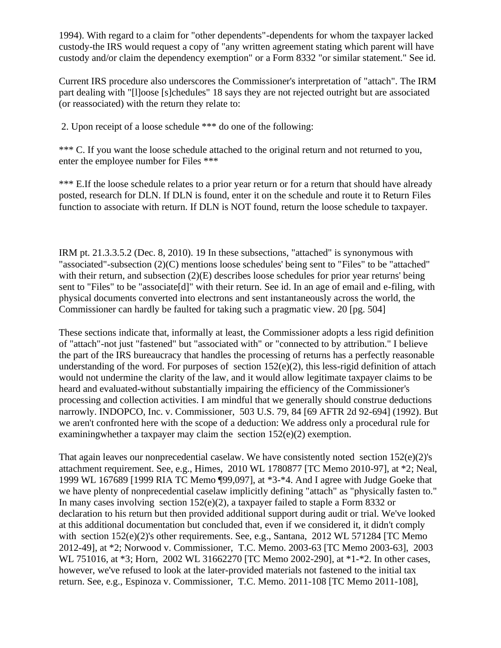1994). With regard to a claim for "other dependents"-dependents for whom the taxpayer lacked custody-the IRS would request a copy of "any written agreement stating which parent will have custody and/or claim the dependency exemption" or a Form 8332 "or similar statement." See id.

Current IRS procedure also underscores the Commissioner's interpretation of "attach". The IRM part dealing with "[l]oose [s]chedules" 18 says they are not rejected outright but are associated (or reassociated) with the return they relate to:

2. Upon receipt of a loose schedule \*\*\* do one of the following:

\*\*\* C. If you want the loose schedule attached to the original return and not returned to you, enter the employee number for Files \*\*\*

\*\*\* E.If the loose schedule relates to a prior year return or for a return that should have already posted, research for DLN. If DLN is found, enter it on the schedule and route it to Return Files function to associate with return. If DLN is NOT found, return the loose schedule to taxpayer.

IRM pt. 21.3.3.5.2 (Dec. 8, 2010). 19 In these subsections, "attached" is synonymous with "associated"-subsection (2)(C) mentions loose schedules' being sent to "Files" to be "attached" with their return, and subsection (2)(E) describes loose schedules for prior year returns' being sent to "Files" to be "associate<sup>[d]"</sup> with their return. See id. In an age of email and e-filing, with physical documents converted into electrons and sent instantaneously across the world, the Commissioner can hardly be faulted for taking such a pragmatic view. 20 [pg. 504]

These sections indicate that, informally at least, the Commissioner adopts a less rigid definition of "attach"-not just "fastened" but "associated with" or "connected to by attribution." I believe the part of the IRS bureaucracy that handles the processing of returns has a perfectly reasonable understanding of the word. For purposes of section  $152(e)(2)$ , this less-rigid definition of attach would not undermine the clarity of the law, and it would allow legitimate taxpayer claims to be heard and evaluated-without substantially impairing the efficiency of the Commissioner's processing and collection activities. I am mindful that we generally should construe deductions narrowly. INDOPCO, Inc. v. Commissioner, 503 U.S. 79, 84 [69 AFTR 2d 92-694] (1992). But we aren't confronted here with the scope of a deduction: We address only a procedural rule for examiningwhether a taxpayer may claim the section 152(e)(2) exemption.

That again leaves our nonprecedential caselaw. We have consistently noted section 152(e)(2)'s attachment requirement. See, e.g., Himes, 2010 WL 1780877 [TC Memo 2010-97], at \*2; Neal, 1999 WL 167689 [1999 RIA TC Memo ¶99,097], at \*3-\*4. And I agree with Judge Goeke that we have plenty of nonprecedential caselaw implicitly defining "attach" as "physically fasten to." In many cases involving section  $152(e)(2)$ , a taxpayer failed to staple a Form 8332 or declaration to his return but then provided additional support during audit or trial. We've looked at this additional documentation but concluded that, even if we considered it, it didn't comply with section  $152(e)(2)$ 's other requirements. See, e.g., Santana,  $2012$  WL 571284 [TC Memo 2012-49], at \*2; Norwood v. Commissioner, T.C. Memo. 2003-63 [TC Memo 2003-63], 2003 WL 751016, at \*3; Horn, 2002 WL 31662270 [TC Memo 2002-290], at \*1-\*2. In other cases, however, we've refused to look at the later-provided materials not fastened to the initial tax return. See, e.g., Espinoza v. Commissioner, T.C. Memo. 2011-108 [TC Memo 2011-108],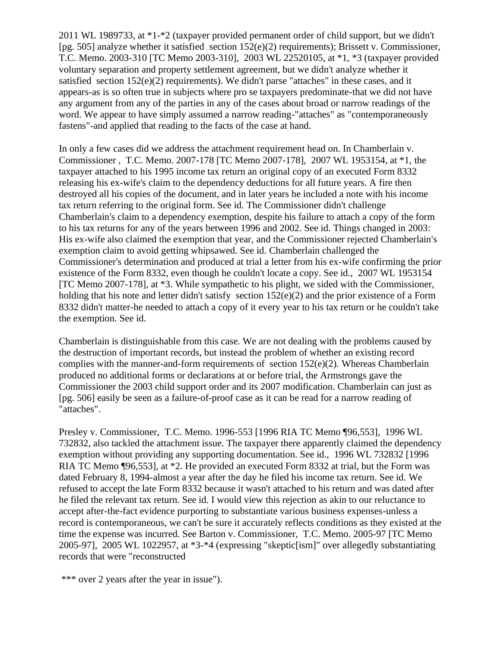2011 WL 1989733, at \*1-\*2 (taxpayer provided permanent order of child support, but we didn't [pg. 505] analyze whether it satisfied section 152(e)(2) requirements); Brissett v. Commissioner, T.C. Memo. 2003-310 [TC Memo 2003-310], 2003 WL 22520105, at \*1, \*3 (taxpayer provided voluntary separation and property settlement agreement, but we didn't analyze whether it satisfied section 152(e)(2) requirements). We didn't parse "attaches" in these cases, and it appears-as is so often true in subjects where pro se taxpayers predominate-that we did not have any argument from any of the parties in any of the cases about broad or narrow readings of the word. We appear to have simply assumed a narrow reading-"attaches" as "contemporaneously fastens"-and applied that reading to the facts of the case at hand.

In only a few cases did we address the attachment requirement head on. In Chamberlain v. Commissioner , T.C. Memo. 2007-178 [TC Memo 2007-178], 2007 WL 1953154, at \*1, the taxpayer attached to his 1995 income tax return an original copy of an executed Form 8332 releasing his ex-wife's claim to the dependency deductions for all future years. A fire then destroyed all his copies of the document, and in later years he included a note with his income tax return referring to the original form. See id. The Commissioner didn't challenge Chamberlain's claim to a dependency exemption, despite his failure to attach a copy of the form to his tax returns for any of the years between 1996 and 2002. See id. Things changed in 2003: His ex-wife also claimed the exemption that year, and the Commissioner rejected Chamberlain's exemption claim to avoid getting whipsawed. See id. Chamberlain challenged the Commissioner's determination and produced at trial a letter from his ex-wife confirming the prior existence of the Form 8332, even though he couldn't locate a copy. See id., 2007 WL 1953154 [TC Memo 2007-178], at \*3. While sympathetic to his plight, we sided with the Commissioner, holding that his note and letter didn't satisfy section 152(e)(2) and the prior existence of a Form 8332 didn't matter-he needed to attach a copy of it every year to his tax return or he couldn't take the exemption. See id.

Chamberlain is distinguishable from this case. We are not dealing with the problems caused by the destruction of important records, but instead the problem of whether an existing record complies with the manner-and-form requirements of section 152(e)(2). Whereas Chamberlain produced no additional forms or declarations at or before trial, the Armstrongs gave the Commissioner the 2003 child support order and its 2007 modification. Chamberlain can just as [pg. 506] easily be seen as a failure-of-proof case as it can be read for a narrow reading of "attaches".

Presley v. Commissioner, T.C. Memo. 1996-553 [1996 RIA TC Memo ¶96,553], 1996 WL 732832, also tackled the attachment issue. The taxpayer there apparently claimed the dependency exemption without providing any supporting documentation. See id., 1996 WL 732832 [1996 RIA TC Memo ¶96,553], at \*2. He provided an executed Form 8332 at trial, but the Form was dated February 8, 1994-almost a year after the day he filed his income tax return. See id. We refused to accept the late Form 8332 because it wasn't attached to his return and was dated after he filed the relevant tax return. See id. I would view this rejection as akin to our reluctance to accept after-the-fact evidence purporting to substantiate various business expenses-unless a record is contemporaneous, we can't be sure it accurately reflects conditions as they existed at the time the expense was incurred. See Barton v. Commissioner, T.C. Memo. 2005-97 [TC Memo 2005-97], 2005 WL 1022957, at \*3-\*4 (expressing "skeptic[ism]" over allegedly substantiating records that were "reconstructed

<sup>\*\*\*</sup> over 2 years after the year in issue").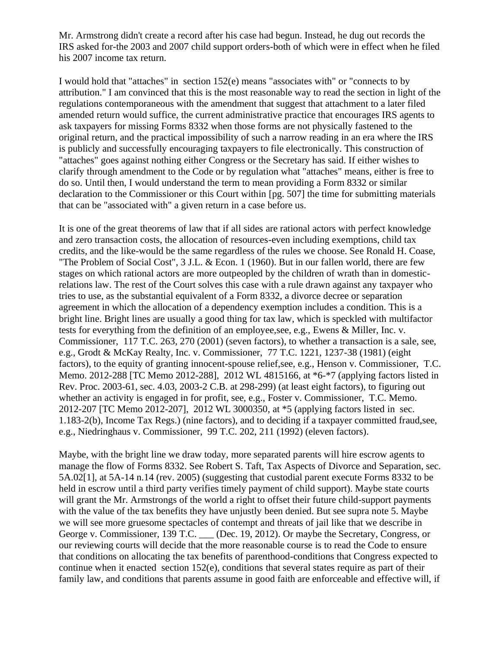Mr. Armstrong didn't create a record after his case had begun. Instead, he dug out records the IRS asked for-the 2003 and 2007 child support orders-both of which were in effect when he filed his 2007 income tax return.

I would hold that "attaches" in section 152(e) means "associates with" or "connects to by attribution." I am convinced that this is the most reasonable way to read the section in light of the regulations contemporaneous with the amendment that suggest that attachment to a later filed amended return would suffice, the current administrative practice that encourages IRS agents to ask taxpayers for missing Forms 8332 when those forms are not physically fastened to the original return, and the practical impossibility of such a narrow reading in an era where the IRS is publicly and successfully encouraging taxpayers to file electronically. This construction of "attaches" goes against nothing either Congress or the Secretary has said. If either wishes to clarify through amendment to the Code or by regulation what "attaches" means, either is free to do so. Until then, I would understand the term to mean providing a Form 8332 or similar declaration to the Commissioner or this Court within [pg. 507] the time for submitting materials that can be "associated with" a given return in a case before us.

It is one of the great theorems of law that if all sides are rational actors with perfect knowledge and zero transaction costs, the allocation of resources-even including exemptions, child tax credits, and the like-would be the same regardless of the rules we choose. See Ronald H. Coase, "The Problem of Social Cost", 3 J.L. & Econ. 1 (1960). But in our fallen world, there are few stages on which rational actors are more outpeopled by the children of wrath than in domesticrelations law. The rest of the Court solves this case with a rule drawn against any taxpayer who tries to use, as the substantial equivalent of a Form 8332, a divorce decree or separation agreement in which the allocation of a dependency exemption includes a condition. This is a bright line. Bright lines are usually a good thing for tax law, which is speckled with multifactor tests for everything from the definition of an employee,see, e.g., Ewens & Miller, Inc. v. Commissioner, 117 T.C. 263, 270 (2001) (seven factors), to whether a transaction is a sale, see, e.g., Grodt & McKay Realty, Inc. v. Commissioner, 77 T.C. 1221, 1237-38 (1981) (eight factors), to the equity of granting innocent-spouse relief,see, e.g., Henson v. Commissioner, T.C. Memo. 2012-288 [TC Memo 2012-288], 2012 WL 4815166, at \*6-\*7 (applying factors listed in Rev. Proc. 2003-61, sec. 4.03, 2003-2 C.B. at 298-299) (at least eight factors), to figuring out whether an activity is engaged in for profit, see, e.g., Foster v. Commissioner, T.C. Memo. 2012-207 [TC Memo 2012-207], 2012 WL 3000350, at \*5 (applying factors listed in sec. 1.183-2(b), Income Tax Regs.) (nine factors), and to deciding if a taxpayer committed fraud,see, e.g., Niedringhaus v. Commissioner, 99 T.C. 202, 211 (1992) (eleven factors).

Maybe, with the bright line we draw today, more separated parents will hire escrow agents to manage the flow of Forms 8332. See Robert S. Taft, Tax Aspects of Divorce and Separation, sec. 5A.02[1], at 5A-14 n.14 (rev. 2005) (suggesting that custodial parent execute Forms 8332 to be held in escrow until a third party verifies timely payment of child support). Maybe state courts will grant the Mr. Armstrongs of the world a right to offset their future child-support payments with the value of the tax benefits they have unjustly been denied. But see supra note 5. Maybe we will see more gruesome spectacles of contempt and threats of jail like that we describe in George v. Commissioner, 139 T.C. \_\_\_ (Dec. 19, 2012). Or maybe the Secretary, Congress, or our reviewing courts will decide that the more reasonable course is to read the Code to ensure that conditions on allocating the tax benefits of parenthood-conditions that Congress expected to continue when it enacted section 152(e), conditions that several states require as part of their family law, and conditions that parents assume in good faith are enforceable and effective will, if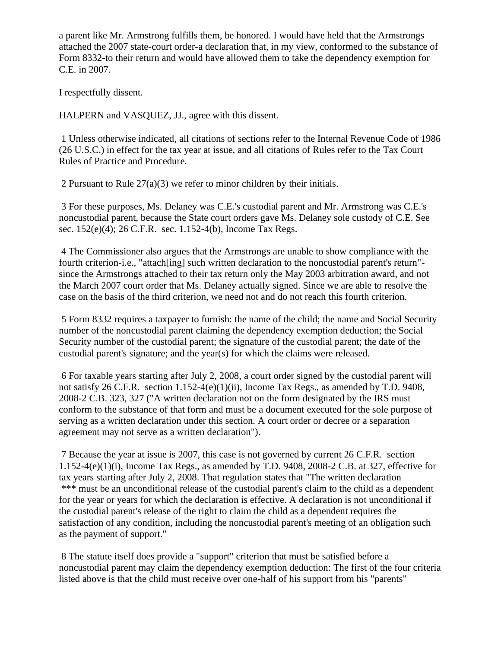a parent like Mr. Armstrong fulfills them, be honored. I would have held that the Armstrongs attached the 2007 state-court order-a declaration that, in my view, conformed to the substance of Form 8332-to their return and would have allowed them to take the dependency exemption for C.E. in 2007.

I respectfully dissent.

HALPERN and VASQUEZ, JJ., agree with this dissent.

1 Unless otherwise indicated, all citations of sections refer to the Internal Revenue Code of 1986 (26 U.S.C.) in effect for the tax year at issue, and all citations of Rules refer to the Tax Court Rules of Practice and Procedure.

2 Pursuant to Rule 27(a)(3) we refer to minor children by their initials.

3 For these purposes, Ms. Delaney was C.E.'s custodial parent and Mr. Armstrong was C.E.'s noncustodial parent, because the State court orders gave Ms. Delaney sole custody of C.E. See sec. 152(e)(4); 26 C.F.R. sec. 1.152-4(b), Income Tax Regs.

4 The Commissioner also argues that the Armstrongs are unable to show compliance with the fourth criterion-i.e., "attach[ing] such written declaration to the noncustodial parent's return" since the Armstrongs attached to their tax return only the May 2003 arbitration award, and not the March 2007 court order that Ms. Delaney actually signed. Since we are able to resolve the case on the basis of the third criterion, we need not and do not reach this fourth criterion.

5 Form 8332 requires a taxpayer to furnish: the name of the child; the name and Social Security number of the noncustodial parent claiming the dependency exemption deduction; the Social Security number of the custodial parent; the signature of the custodial parent; the date of the custodial parent's signature; and the year(s) for which the claims were released.

6 For taxable years starting after July 2, 2008, a court order signed by the custodial parent will not satisfy 26 C.F.R. section 1.152-4(e)(1)(ii), Income Tax Regs., as amended by T.D. 9408, 2008-2 C.B. 323, 327 ("A written declaration not on the form designated by the IRS must conform to the substance of that form and must be a document executed for the sole purpose of serving as a written declaration under this section. A court order or decree or a separation agreement may not serve as a written declaration").

7 Because the year at issue is 2007, this case is not governed by current 26 C.F.R. section 1.152-4(e)(1)(i), Income Tax Regs., as amended by T.D. 9408, 2008-2 C.B. at 327, effective for tax years starting after July 2, 2008. That regulation states that "The written declaration \*\*\* must be an unconditional release of the custodial parent's claim to the child as a dependent for the year or years for which the declaration is effective. A declaration is not unconditional if the custodial parent's release of the right to claim the child as a dependent requires the satisfaction of any condition, including the noncustodial parent's meeting of an obligation such as the payment of support."

8 The statute itself does provide a "support" criterion that must be satisfied before a noncustodial parent may claim the dependency exemption deduction: The first of the four criteria listed above is that the child must receive over one-half of his support from his "parents"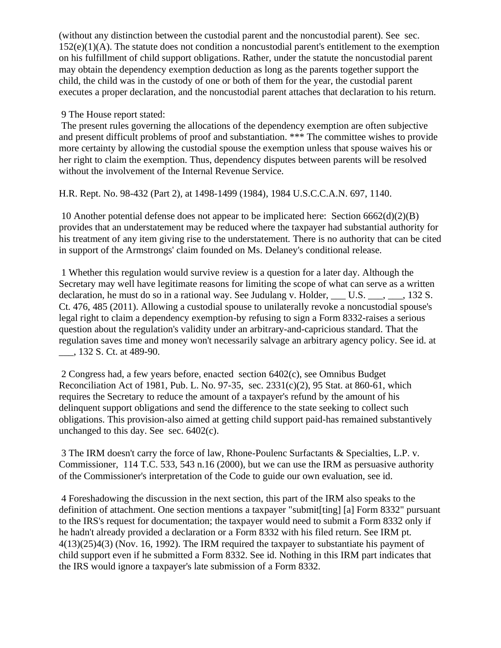(without any distinction between the custodial parent and the noncustodial parent). See sec. 152(e)(1)(A). The statute does not condition a noncustodial parent's entitlement to the exemption on his fulfillment of child support obligations. Rather, under the statute the noncustodial parent may obtain the dependency exemption deduction as long as the parents together support the child, the child was in the custody of one or both of them for the year, the custodial parent executes a proper declaration, and the noncustodial parent attaches that declaration to his return.

#### 9 The House report stated:

The present rules governing the allocations of the dependency exemption are often subjective and present difficult problems of proof and substantiation. \*\*\* The committee wishes to provide more certainty by allowing the custodial spouse the exemption unless that spouse waives his or her right to claim the exemption. Thus, dependency disputes between parents will be resolved without the involvement of the Internal Revenue Service.

H.R. Rept. No. 98-432 (Part 2), at 1498-1499 (1984), 1984 U.S.C.C.A.N. 697, 1140.

10 Another potential defense does not appear to be implicated here: Section 6662(d)(2)(B) provides that an understatement may be reduced where the taxpayer had substantial authority for his treatment of any item giving rise to the understatement. There is no authority that can be cited in support of the Armstrongs' claim founded on Ms. Delaney's conditional release.

1 Whether this regulation would survive review is a question for a later day. Although the Secretary may well have legitimate reasons for limiting the scope of what can serve as a written declaration, he must do so in a rational way. See Judulang v. Holder, U.S. , 132 S. Ct. 476, 485 (2011). Allowing a custodial spouse to unilaterally revoke a noncustodial spouse's legal right to claim a dependency exemption-by refusing to sign a Form 8332-raises a serious question about the regulation's validity under an arbitrary-and-capricious standard. That the regulation saves time and money won't necessarily salvage an arbitrary agency policy. See id. at \_\_\_, 132 S. Ct. at 489-90.

2 Congress had, a few years before, enacted section 6402(c), see Omnibus Budget Reconciliation Act of 1981, Pub. L. No. 97-35, sec. 2331(c)(2), 95 Stat. at 860-61, which requires the Secretary to reduce the amount of a taxpayer's refund by the amount of his delinquent support obligations and send the difference to the state seeking to collect such obligations. This provision-also aimed at getting child support paid-has remained substantively unchanged to this day. See sec. 6402(c).

3 The IRM doesn't carry the force of law, Rhone-Poulenc Surfactants & Specialties, L.P. v. Commissioner, 114 T.C. 533, 543 n.16 (2000), but we can use the IRM as persuasive authority of the Commissioner's interpretation of the Code to guide our own evaluation, see id.

4 Foreshadowing the discussion in the next section, this part of the IRM also speaks to the definition of attachment. One section mentions a taxpayer "submit[ting] [a] Form 8332" pursuant to the IRS's request for documentation; the taxpayer would need to submit a Form 8332 only if he hadn't already provided a declaration or a Form 8332 with his filed return. See IRM pt. 4(13)(25)4(3) (Nov. 16, 1992). The IRM required the taxpayer to substantiate his payment of child support even if he submitted a Form 8332. See id. Nothing in this IRM part indicates that the IRS would ignore a taxpayer's late submission of a Form 8332.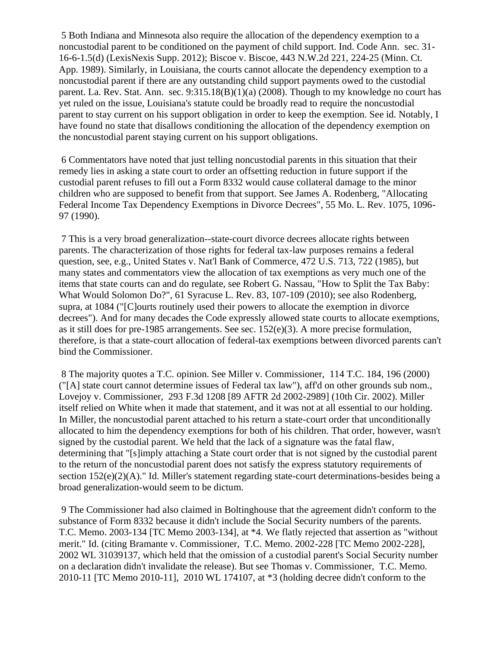5 Both Indiana and Minnesota also require the allocation of the dependency exemption to a noncustodial parent to be conditioned on the payment of child support. Ind. Code Ann. sec. 31- 16-6-1.5(d) (LexisNexis Supp. 2012); Biscoe v. Biscoe, 443 N.W.2d 221, 224-25 (Minn. Ct. App. 1989). Similarly, in Louisiana, the courts cannot allocate the dependency exemption to a noncustodial parent if there are any outstanding child support payments owed to the custodial parent. La. Rev. Stat. Ann. sec. 9:315.18(B)(1)(a) (2008). Though to my knowledge no court has yet ruled on the issue, Louisiana's statute could be broadly read to require the noncustodial parent to stay current on his support obligation in order to keep the exemption. See id. Notably, I have found no state that disallows conditioning the allocation of the dependency exemption on the noncustodial parent staying current on his support obligations.

6 Commentators have noted that just telling noncustodial parents in this situation that their remedy lies in asking a state court to order an offsetting reduction in future support if the custodial parent refuses to fill out a Form 8332 would cause collateral damage to the minor children who are supposed to benefit from that support. See James A. Rodenberg, "Allocating Federal Income Tax Dependency Exemptions in Divorce Decrees", 55 Mo. L. Rev. 1075, 1096- 97 (1990).

7 This is a very broad generalization--state-court divorce decrees allocate rights between parents. The characterization of those rights for federal tax-law purposes remains a federal question, see, e.g., United States v. Nat'l Bank of Commerce, 472 U.S. 713, 722 (1985), but many states and commentators view the allocation of tax exemptions as very much one of the items that state courts can and do regulate, see Robert G. Nassau, "How to Split the Tax Baby: What Would Solomon Do?", 61 Syracuse L. Rev. 83, 107-109 (2010); see also Rodenberg, supra, at 1084 ("[C]ourts routinely used their powers to allocate the exemption in divorce decrees"). And for many decades the Code expressly allowed state courts to allocate exemptions, as it still does for pre-1985 arrangements. See sec. 152(e)(3). A more precise formulation, therefore, is that a state-court allocation of federal-tax exemptions between divorced parents can't bind the Commissioner.

8 The majority quotes a T.C. opinion. See Miller v. Commissioner, 114 T.C. 184, 196 (2000) ("[A] state court cannot determine issues of Federal tax law"), aff'd on other grounds sub nom., Lovejoy v. Commissioner, 293 F.3d 1208 [89 AFTR 2d 2002-2989] (10th Cir. 2002). Miller itself relied on White when it made that statement, and it was not at all essential to our holding. In Miller, the noncustodial parent attached to his return a state-court order that unconditionally allocated to him the dependency exemptions for both of his children. That order, however, wasn't signed by the custodial parent. We held that the lack of a signature was the fatal flaw, determining that "[s]imply attaching a State court order that is not signed by the custodial parent to the return of the noncustodial parent does not satisfy the express statutory requirements of section  $152(e)(2)(A)$ ." Id. Miller's statement regarding state-court determinations-besides being a broad generalization-would seem to be dictum.

9 The Commissioner had also claimed in Boltinghouse that the agreement didn't conform to the substance of Form 8332 because it didn't include the Social Security numbers of the parents. T.C. Memo. 2003-134 [TC Memo 2003-134], at \*4. We flatly rejected that assertion as "without merit." Id. (citing Bramante v. Commissioner, T.C. Memo. 2002-228 [TC Memo 2002-228], 2002 WL 31039137, which held that the omission of a custodial parent's Social Security number on a declaration didn't invalidate the release). But see Thomas v. Commissioner, T.C. Memo. 2010-11 [TC Memo 2010-11], 2010 WL 174107, at \*3 (holding decree didn't conform to the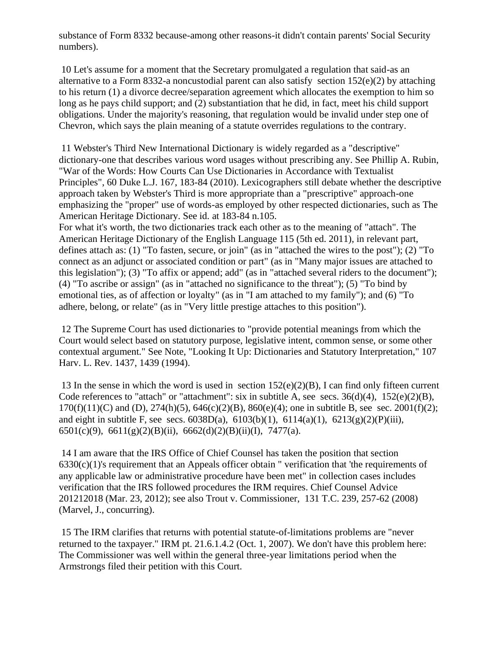substance of Form 8332 because-among other reasons-it didn't contain parents' Social Security numbers).

10 Let's assume for a moment that the Secretary promulgated a regulation that said-as an alternative to a Form 8332-a noncustodial parent can also satisfy section 152(e)(2) by attaching to his return (1) a divorce decree/separation agreement which allocates the exemption to him so long as he pays child support; and (2) substantiation that he did, in fact, meet his child support obligations. Under the majority's reasoning, that regulation would be invalid under step one of Chevron, which says the plain meaning of a statute overrides regulations to the contrary.

11 Webster's Third New International Dictionary is widely regarded as a "descriptive" dictionary-one that describes various word usages without prescribing any. See Phillip A. Rubin, "War of the Words: How Courts Can Use Dictionaries in Accordance with Textualist Principles", 60 Duke L.J. 167, 183-84 (2010). Lexicographers still debate whether the descriptive approach taken by Webster's Third is more appropriate than a "prescriptive" approach-one emphasizing the "proper" use of words-as employed by other respected dictionaries, such as The American Heritage Dictionary. See id. at 183-84 n.105.

For what it's worth, the two dictionaries track each other as to the meaning of "attach". The American Heritage Dictionary of the English Language 115 (5th ed. 2011), in relevant part, defines attach as: (1) "To fasten, secure, or join" (as in "attached the wires to the post"); (2) "To connect as an adjunct or associated condition or part" (as in "Many major issues are attached to this legislation"); (3) "To affix or append; add" (as in "attached several riders to the document"); (4) "To ascribe or assign" (as in "attached no significance to the threat"); (5) "To bind by emotional ties, as of affection or loyalty" (as in "I am attached to my family"); and (6) "To adhere, belong, or relate" (as in "Very little prestige attaches to this position").

12 The Supreme Court has used dictionaries to "provide potential meanings from which the Court would select based on statutory purpose, legislative intent, common sense, or some other contextual argument." See Note, "Looking It Up: Dictionaries and Statutory Interpretation," 107 Harv. L. Rev. 1437, 1439 (1994).

13 In the sense in which the word is used in section 152(e)(2)(B), I can find only fifteen current Code references to "attach" or "attachment": six in subtitle A, see secs.  $36(d)(4)$ ,  $152(e)(2)(B)$ ,  $170(f)(11)(C)$  and (D),  $274(h)(5)$ ,  $646(c)(2)(B)$ ,  $860(e)(4)$ ; one in subtitle B, see sec.  $2001(f)(2)$ ; and eight in subtitle F, see secs.  $6038D(a)$ ,  $6103(b)(1)$ ,  $6114(a)(1)$ ,  $6213(g)(2)(P)(iii)$ , 6501(c)(9), 6611(g)(2)(B)(ii), 6662(d)(2)(B)(ii)(I), 7477(a).

14 I am aware that the IRS Office of Chief Counsel has taken the position that section  $6330(c)(1)$ 's requirement that an Appeals officer obtain " verification that 'the requirements of any applicable law or administrative procedure have been met" in collection cases includes verification that the IRS followed procedures the IRM requires. Chief Counsel Advice 201212018 (Mar. 23, 2012); see also Trout v. Commissioner, 131 T.C. 239, 257-62 (2008) (Marvel, J., concurring).

15 The IRM clarifies that returns with potential statute-of-limitations problems are "never returned to the taxpayer." IRM pt. 21.6.1.4.2 (Oct. 1, 2007). We don't have this problem here: The Commissioner was well within the general three-year limitations period when the Armstrongs filed their petition with this Court.